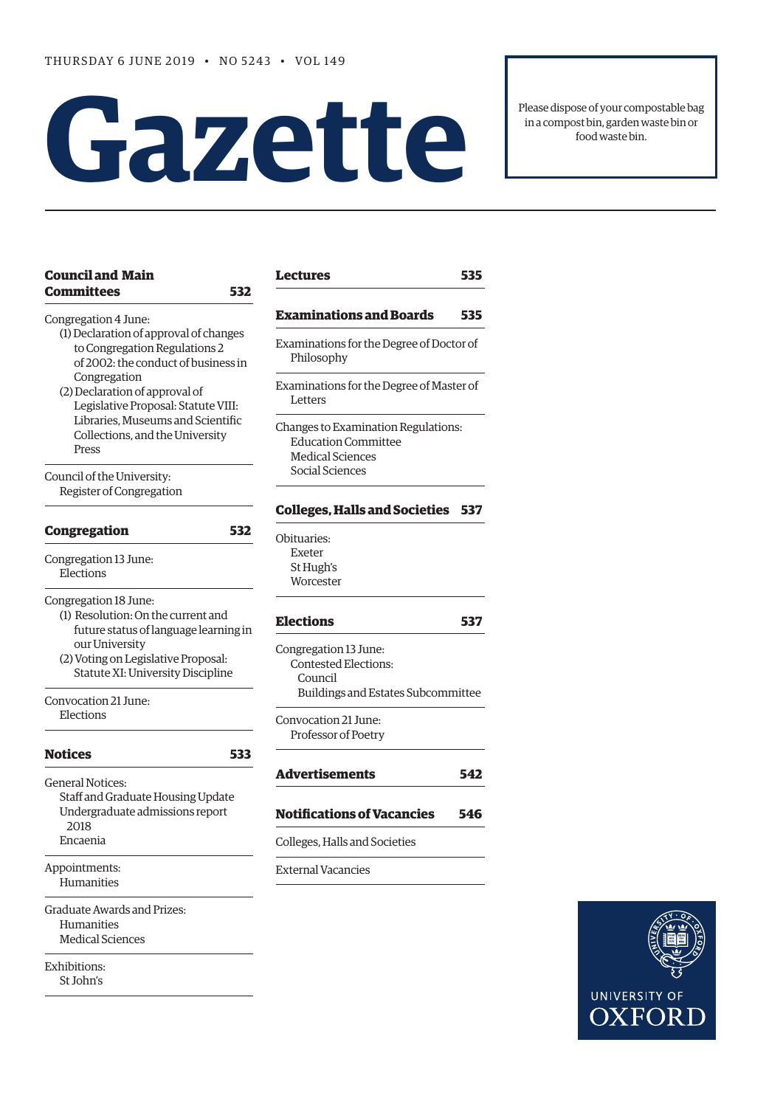# **Gazet te**

Please dispose of your compostable bag in a compost bin, garden waste bin or food waste bin.

| <b>Council and Main</b><br><b>Committees</b>                                                                                           | 532 | Lectures                         |
|----------------------------------------------------------------------------------------------------------------------------------------|-----|----------------------------------|
|                                                                                                                                        |     | Examina                          |
| Congregation 4 June:<br>(1) Declaration of approval of changes<br>to Congregation Regulations 2<br>of 2002: the conduct of business in |     | Examinatio<br>Philosop           |
| Congregation<br>(2) Declaration of approval of<br>Legislative Proposal: Statute VIII:                                                  |     | Examinatio<br>Letters            |
| Libraries, Museums and Scientific<br>Collections, and the University<br>Press                                                          |     | Changes to<br>Educati<br>Medical |
| Council of the University:<br>Register of Congregation                                                                                 |     | Social So                        |
| <b>Congregation</b>                                                                                                                    | 532 | <b>Colleges,</b><br>Obituaries:  |
| Congregation 13 June:<br>Elections                                                                                                     |     | Exeter<br>St Hugh<br>Worcest     |
| Congregation 18 June:<br>(1) Resolution: On the current and<br>future status of language learning in                                   |     | <b>Elections</b>                 |
| our University<br>(2) Voting on Legislative Proposal:<br>Statute XI: University Discipline                                             |     | Congregati<br>Contest<br>Counc   |
| Convocation 21 June:<br>Elections                                                                                                      |     | Buildi<br>Convocatio             |
| <b>Notices</b>                                                                                                                         | 533 | Professo                         |
| General Notices:                                                                                                                       |     | Advertis                         |
| Staff and Graduate Housing Update<br>Undergraduate admissions report<br>2018                                                           |     | Notificati                       |
| Encaenia                                                                                                                               |     | Colleges, H                      |
| Appointments:<br>Humanities                                                                                                            |     | External Va                      |
| Graduate Awards and Prizes:<br>Humanities<br>Medical Sciences                                                                          |     |                                  |
| Exhibitions:<br>St John's                                                                                                              |     |                                  |
|                                                                                                                                        |     |                                  |

| <b>Lectures</b>                                                                                                 | 535 |
|-----------------------------------------------------------------------------------------------------------------|-----|
| Examinations and Boards                                                                                         | 535 |
| Examinations for the Degree of Doctor of<br>Philosophy                                                          |     |
| Examinations for the Degree of Master of<br>Letters                                                             |     |
| Changes to Examination Regulations:<br><b>Education Committee</b><br><b>Medical Sciences</b><br>Social Sciences |     |
| <b>Colleges, Halls and Societies</b>                                                                            | 537 |
| Obituaries:<br>Exeter<br>St Hugh's<br>Worcester                                                                 |     |
| <b>Elections</b>                                                                                                | 537 |
| Congregation 13 June:<br><b>Contested Elections:</b><br>Council<br>Buildings and Estates Subcommittee           |     |
| Convocation 21 June:<br>Professor of Poetry                                                                     |     |
| <b>Advertisements</b>                                                                                           | 542 |
| <b>Notifications of Vacancies</b>                                                                               | 546 |
| Colleges, Halls and Societies                                                                                   |     |
| <b>External Vacancies</b>                                                                                       |     |

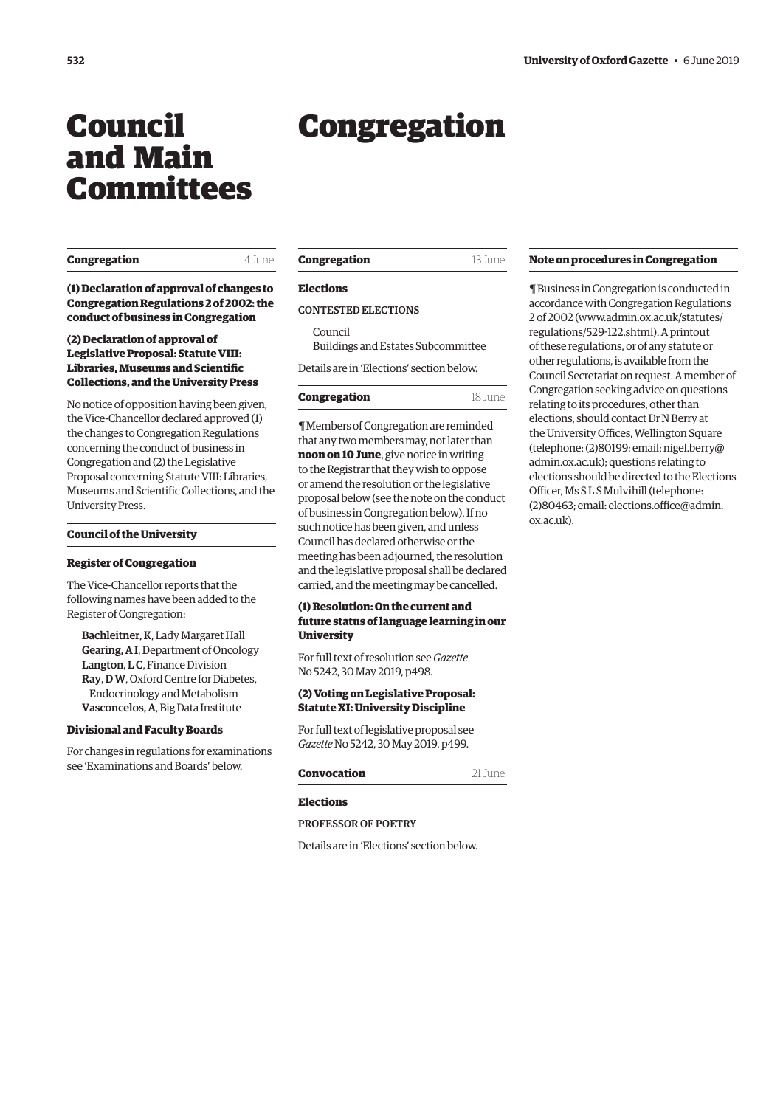## <span id="page-1-0"></span>Council and Main Committees

**Congregation** 4 June

**(1) Declaration of approval of changes to Congregation Regulations 2 of 2002: the conduct of business in Congregation** 

#### **(2) Declaration of approval of Legislative Proposal: Statute VIII: Libraries, Museums and Scientific Collections, and the University Press**

No notice of opposition having been given, the Vice-Chancellor declared approved (1) the changes to Congregation Regulations concerning the conduct of business in Congregation and (2) the Legislative Proposal concerning Statute VIII: Libraries, Museums and Scientific Collections, and the University Press.

#### **Council of the University**

#### **Register of Congregation**

The Vice-Chancellor reports that the following names have been added to the Register of Congregation:

Bachleitner, K, Lady Margaret Hall Gearing, A I, Department of Oncology Langton, L C, Finance Division Ray, D W, Oxford Centre for Diabetes, Endocrinology and Metabolism Vasconcelos, A, Big Data Institute

#### **Divisional and Faculty Boards**

For changes in regulations for examinations see 'Examinations and Boards' below.

#### **Congregation** 13 June

Congregation

#### **Elections**

#### CONTESTED ELECTIONS

Council Buildings and Estates Subcommittee

Details are in 'Elections' section below.

#### **Congregation** 18 June

¶ Members of Congregation are reminded that any two members may, not later than **noon on 10 June**, give notice in writing to the Registrar that they wish to oppose or amend the resolution or the legislative proposal below (see the note on the conduct of business in Congregation below). If no such notice has been given, and unless Council has declared otherwise or the meeting has been adjourned, the resolution and the legislative proposal shall be declared carried, and the meeting may be cancelled.

#### **(1) Resolution: On the current and future status of language learning in our University**

[For full text of resolution see](https://gazette.web.ox.ac.uk/sites/default/files/gazette/documents/media/30_may_2019_-_no_5242_redacted.pdf#page=4) *Gazette* No 5242, 30 May 2019, p498.

#### **(2) Voting on Legislative Proposal: Statute XI: University Discipline**

[For full text of legislative proposal see](https://gazette.web.ox.ac.uk/sites/default/files/gazette/documents/media/30_may_2019_-_no_5242_redacted.pdf#page=5)  *Gazette* No 5242, 30 May 2019, p499.

#### **Convocation** 21 June

#### **Elections**

#### PROFESSOR OF POETRY

Details are in 'Elections' section below.

#### **Note on procedures in Congregation**

¶ Business in Congregation is conducted in accordance with Congregation Regulations [2 of 2002 \(www.admin.ox.ac.uk/statutes/](www.admin.ox.ac.uk/statutes/regulations/529-122.shtml) regulations/529-122.shtml). A printout of these regulations, or of any statute or other regulations, is available from the Council Secretariat on request. A member of Congregation seeking advice on questions relating to its procedures, other than elections, should contact Dr N Berry at the University Offices, Wellington Square (telephone: (2)80199; email: [nigel.berry@](mailto:nigel.berry@admin.ox.ac.uk) [admin.ox.ac.uk](mailto:nigel.berry@admin.ox.ac.uk)); questions relating to elections should be directed to the Elections Officer, Ms S L S Mulvihill (telephone: (2)80463; email: [elections.office@admin.](mailto:elections.office@admin.ox.ac.uk) [ox.ac.uk](mailto:elections.office@admin.ox.ac.uk)).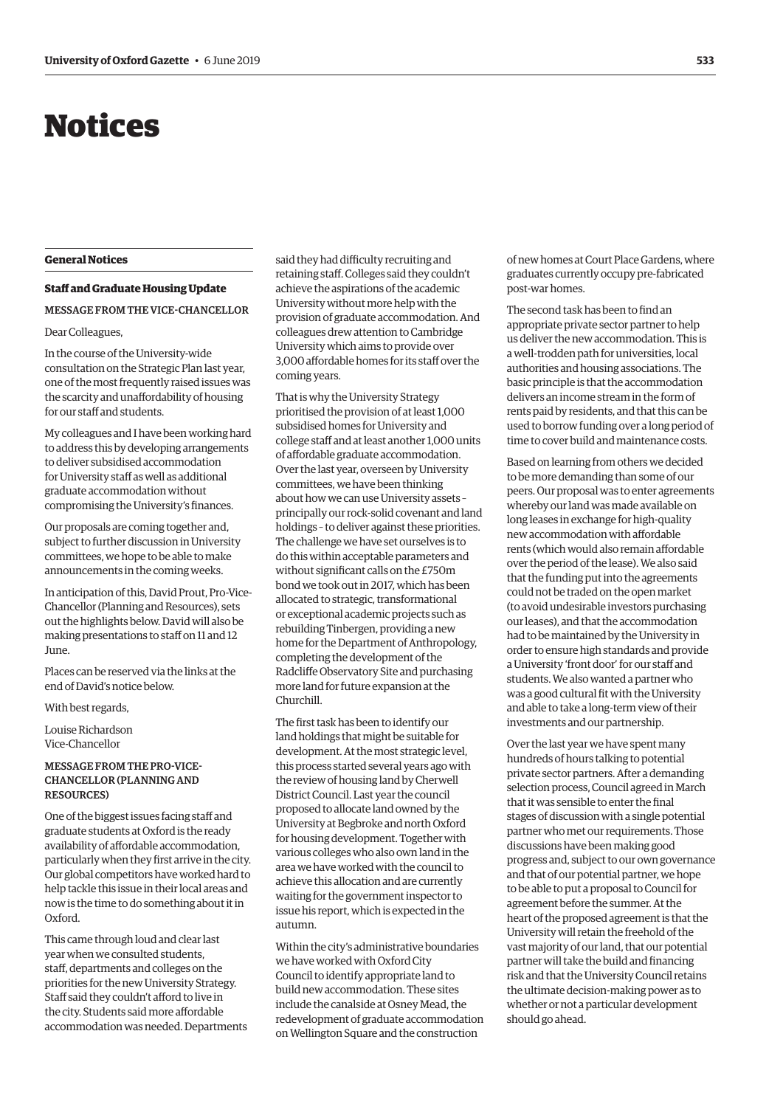## <span id="page-2-0"></span>Notices

#### **General Notices**

#### **Staff and Graduate Housing Update**

#### MESSAGE FROM THE VICE-CHANCELLOR

#### Dear Colleagues,

In the course of the University-wide consultation on the Strategic Plan last year, one of the most frequently raised issues was the scarcity and unaffordability of housing for our staff and students.

My colleagues and I have been working hard to address this by developing arrangements to deliver subsidised accommodation for University staff as well as additional graduate accommodation without compromising the University's finances.

Our proposals are coming together and, subject to further discussion in University committees, we hope to be able to make announcements in the coming weeks.

In anticipation of this, David Prout, Pro-Vice-Chancellor (Planning and Resources), sets out the highlights below. David will also be making presentations to staff on 11 and 12 June.

Places can be reserved via the links at the end of David's notice below.

#### With best regards,

Louise Richardson Vice-Chancellor

#### MESSAGE FROM THE PRO-VICE-CHANCELLOR (PLANNING AND RESOURCES)

One of the biggest issues facing staff and graduate students at Oxford is the ready availability of affordable accommodation, particularly when they first arrive in the city. Our global competitors have worked hard to help tackle this issue in their local areas and now is the time to do something about it in Oxford.

This came through loud and clear last year when we consulted students, staff, departments and colleges on the priorities for the new University Strategy. Staff said they couldn't afford to live in the city. Students said more affordable accommodation was needed. Departments

said they had difficulty recruiting and retaining staff. Colleges said they couldn't achieve the aspirations of the academic University without more help with the provision of graduate accommodation. And colleagues drew attention to Cambridge University which aims to provide over 3,000 affordable homes for its staff over the coming years.

That is why the University Strategy prioritised the provision of at least 1,000 subsidised homes for University and college staff and at least another 1,000 units of affordable graduate accommodation. Over the last year, overseen by University committees, we have been thinking about how we can use University assets – principally our rock-solid covenant and land holdings – to deliver against these priorities. The challenge we have set ourselves is to do this within acceptable parameters and without significant calls on the £750m bond we took out in 2017, which has been allocated to strategic, transformational or exceptional academic projects such as rebuilding Tinbergen, providing a new home for the Department of Anthropology, completing the development of the Radcliffe Observatory Site and purchasing more land for future expansion at the Churchill.

The first task has been to identify our land holdings that might be suitable for development. At the most strategic level, this process started several years ago with the review of housing land by Cherwell District Council. Last year the council proposed to allocate land owned by the University at Begbroke and north Oxford for housing development. Together with various colleges who also own land in the area we have worked with the council to achieve this allocation and are currently waiting for the government inspector to issue his report, which is expected in the autumn.

Within the city's administrative boundaries we have worked with Oxford City Council to identify appropriate land to build new accommodation. These sites include the canalside at Osney Mead, the redevelopment of graduate accommodation on Wellington Square and the construction

of new homes at Court Place Gardens, where graduates currently occupy pre-fabricated post-war homes.

The second task has been to find an appropriate private sector partner to help us deliver the new accommodation. This is a well-trodden path for universities, local authorities and housing associations. The basic principle is that the accommodation delivers an income stream in the form of rents paid by residents, and that this can be used to borrow funding over a long period of time to cover build and maintenance costs.

Based on learning from others we decided to be more demanding than some of our peers. Our proposal was to enter agreements whereby our land was made available on long leases in exchange for high-quality new accommodation with affordable rents (which would also remain affordable over the period of the lease). We also said that the funding put into the agreements could not be traded on the open market (to avoid undesirable investors purchasing our leases), and that the accommodation had to be maintained by the University in order to ensure high standards and provide a University 'front door' for our staff and students. We also wanted a partner who was a good cultural fit with the University and able to take a long-term view of their investments and our partnership.

Over the last year we have spent many hundreds of hours talking to potential private sector partners. After a demanding selection process, Council agreed in March that it was sensible to enter the final stages of discussion with a single potential partner who met our requirements. Those discussions have been making good progress and, subject to our own governance and that of our potential partner, we hope to be able to put a proposal to Council for agreement before the summer. At the heart of the proposed agreement is that the University will retain the freehold of the vast majority of our land, that our potential partner will take the build and financing risk and that the University Council retains the ultimate decision-making power as to whether or not a particular development should go ahead.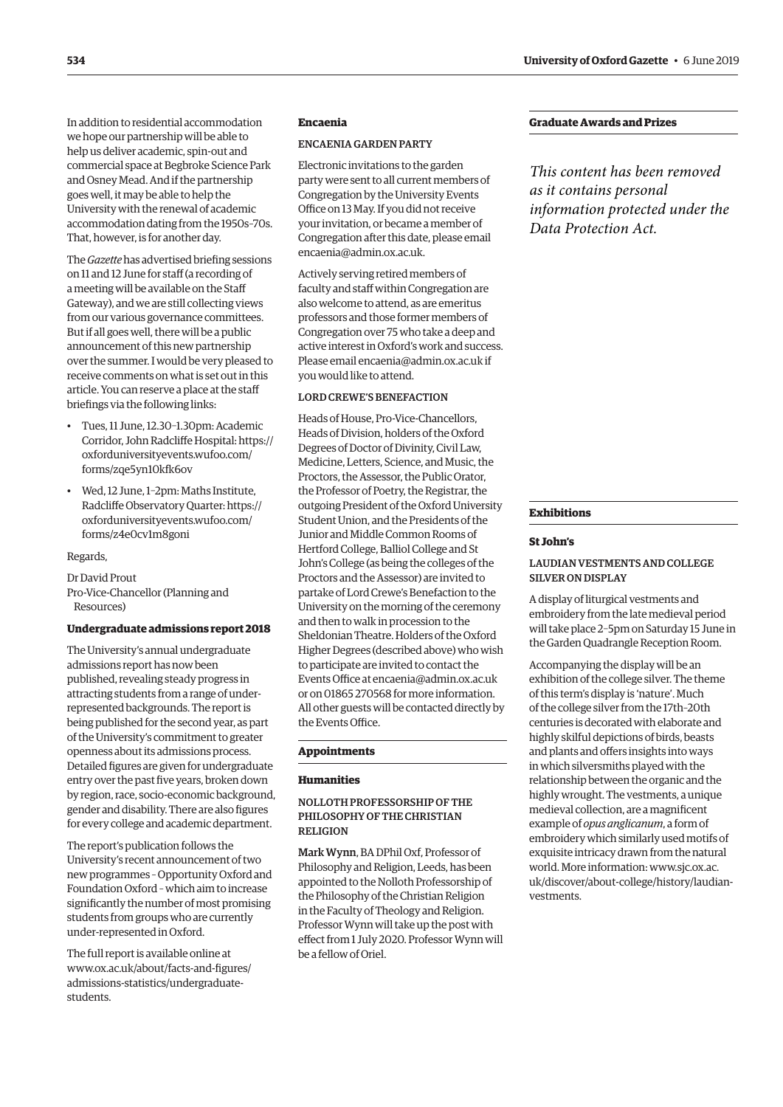In addition to residential accommodation we hope our partnership will be able to help us deliver academic, spin-out and commercial space at Begbroke Science Park and Osney Mead. And if the partnership goes well, it may be able to help the University with the renewal of academic accommodation dating from the 1950s–70s. That, however, is for another day.

The *Gazette* has advertised briefing sessions on 11 and 12 June for staff (a recording of a meeting will be available on the Staff Gateway), and we are still collecting views from our various governance committees. But if all goes well, there will be a public announcement of this new partnership over the summer. I would be very pleased to receive comments on what is set out in this article. You can reserve a place at the staff briefings via the following links:

- Tues, 11 June, 12.30–1.30pm: Academic [Corridor, John Radcliffe Hospital: https://](https://oxforduniversityevents.wufoo.com/forms/zqe5ynl0kfk6ov) oxforduniversityevents.wufoo.com/ forms/zqe5yn10kfk6ov
- Wed, 12 June, 1–2pm: Maths Institute, [Radcliffe Observatory Quarter: https://](https://oxforduniversityevents.wufoo.com/forms/z4e0cvlm8goni) oxforduniversityevents.wufoo.com/ forms/z4e0cv1m8goni

#### Regards,

Dr David Prout Pro-Vice-Chancellor (Planning and Resources)

#### **Undergraduate admissions report 2018**

The University's annual undergraduate admissions report has now been published, revealing steady progress in attracting students from a range of underrepresented backgrounds. The report is being published for the second year, as part of the University's commitment to greater openness about its admissions process. Detailed figures are given for undergraduate entry over the past five years, broken down by region, race, socio-economic background, gender and disability. There are also figures for every college and academic department.

The report's publication follows the University's recent announcement of two new programmes – Opportunity Oxford and Foundation Oxford – which aim to increase significantly the number of most promising students from groups who are currently under-represented in Oxford.

The full report is available online at [www.ox.ac.uk/about/facts-and-figures/](www.ox.ac.uk/about/facts-and-figures/admissions-statistics/undergraduate-students) admissions-statistics/undergraduatestudents.

#### **Encaenia**

#### ENCAENIA GARDEN PARTY

Electronic invitations to the garden party were sent to all current members of Congregation by the University Events Office on 13 May. If you did not receive your invitation, or became a member of Congregation after this date, please email [encaenia@admin.ox.ac.uk.](mailto:encaenia@admin.ox.ac.uk)

Actively serving retired members of faculty and staff within Congregation are also welcome to attend, as are emeritus professors and those former members of Congregation over 75 who take a deep and active interest in Oxford's work and success. Please em[ail encaenia@admin.ox.ac.uk if](mailto:encaenia@admin.ox.ac.uk) you would like to attend.

#### LORD CREWE'S BENEFACTION

Heads of House, Pro-Vice-Chancellors, Heads of Division, holders of the Oxford Degrees of Doctor of Divinity, Civil Law, Medicine, Letters, Science, and Music, the Proctors, the Assessor, the Public Orator, the Professor of Poetry, the Registrar, the outgoing President of the Oxford University Student Union, and the Presidents of the Junior and Middle Common Rooms of Hertford College, Balliol College and St John's College (as being the colleges of the Proctors and the Assessor) are invited to partake of Lord Crewe's Benefaction to the University on the morning of the ceremony and then to walk in procession to the Sheldonian Theatre. Holders of the Oxford Higher Degrees (described above) who wish to participate are invited to contact the Events Office at [encaenia@admin.ox.ac.uk](mailto:encaenia@admin.ox.ac.uk)  or on 01865 270568 for more information. All other guests will be contacted directly by the Events Office.

#### **Appointments**

#### **Humanities**

#### NOLLOTH PROFESSORSHIP OF THE PHILOSOPHY OF THE CHRISTIAN RELIGION

Mark Wynn, BA DPhil Oxf, Professor of Philosophy and Religion, Leeds, has been appointed to the Nolloth Professorship of the Philosophy of the Christian Religion in the Faculty of Theology and Religion. Professor Wynn will take up the post with effect from 1 July 2020. Professor Wynn will be a fellow of Oriel.

#### **Graduate Awards and Prizes**

*This content has been removed as it contains personal information protected under the Data Protection Act.*

#### **Exhibitions**

#### **St John's**

#### LAUDIAN VESTMENTS AND COLLEGE SILVER ON DISPLAY

A display of liturgical vestments and embroidery from the late medieval period will take place 2–5pm on Saturday 15 June in the Garden Quadrangle Reception Room.

Accompanying the display will be an exhibition of the college silver. The theme of this term's display is 'nature'. Much of the college silver from the 17th–20th centuries is decorated with elaborate and highly skilful depictions of birds, beasts and plants and offers insights into ways in which silversmiths played with the relationship between the organic and the highly wrought. The vestments, a unique medieval collection, are a magnificent example of *opus anglicanum*, a form of embroidery which similarly used motifs of exquisite intricacy drawn from the natural world. More information: www.sjc.ox.ac. [uk/discover/about-college/history/laudian](www.sjc.ox.ac.uk/discover/about-college/history/laudian-vestments)vestments.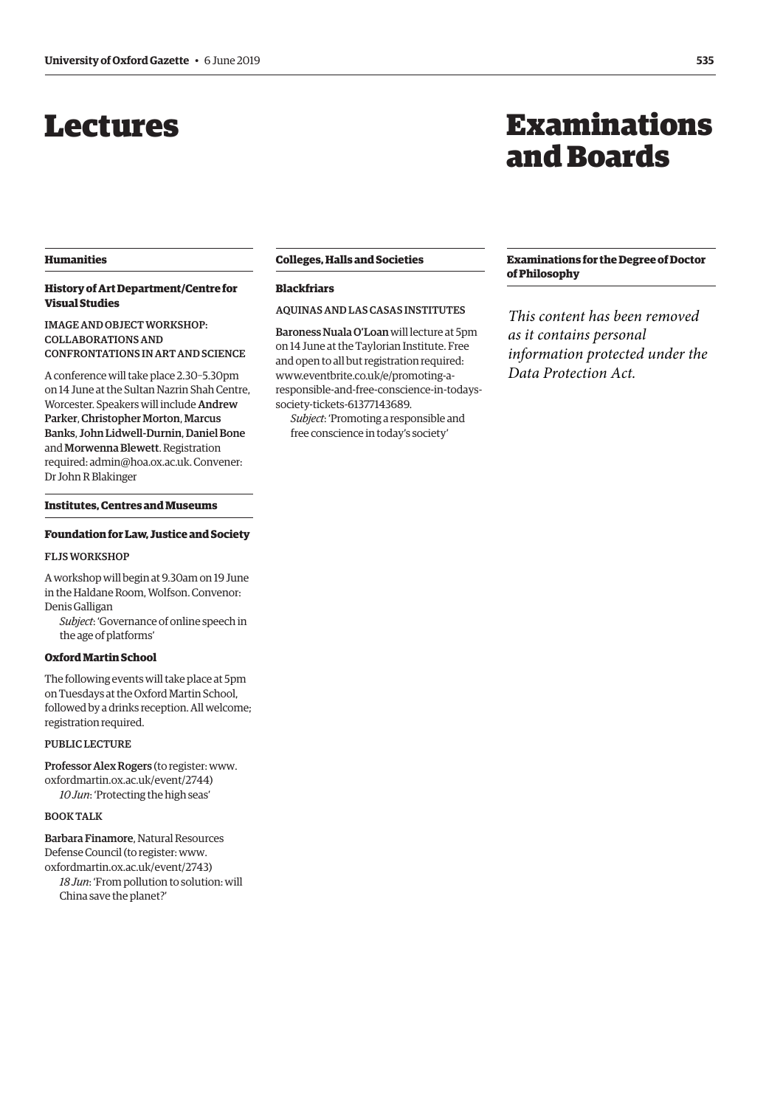## <span id="page-4-0"></span>Lectures

## Examinations and Boards

#### **Humanities**

#### **History of Art Department/Centre for Visual Studies**

IMAGE AND OBJECT WORKSHOP: COLLABORATIONS AND CONFRONTATIONS IN ART AND SCIENCE

A conference will take place 2.30–5.30pm on 14 June at the Sultan Nazrin Shah Centre, Worcester. Speakers will include Andrew Parker, Christopher Morton, Marcus Banks, John Lidwell-Durnin, Daniel Bone and Morwenna Blewett. Registration required: [admin@hoa.ox.ac.uk](mailto:admin@hoa.ox.ac.uk). Convener: Dr John R Blakinger

**Institutes, Centres and Museums**

#### **Foundation for Law, Justice and Society**

#### FLJS WORKSHOP

A workshop will begin at 9.30am on 19 June in the Haldane Room, Wolfson. Convenor: Denis Galligan

*Subject*: 'Governance of online speech in the age of platforms'

#### **Oxford Martin School**

The following events will take place at 5pm on Tuesdays at the Oxford Martin School, followed by a drinks reception. All welcome; registration required.

#### PUBLIC LECTURE

Professor Alex Rogers (to register: [www.](http://www.oxfordmartin.ox.ac.uk/event/2744) [oxfordmartin.ox.ac.uk/event/2744\)](http://www.oxfordmartin.ox.ac.uk/event/2744) *10 Jun*: 'Protecting the high seas'

#### BOOK TALK

Barbara Finamore, Natural Resources Defense Council (to register: [www.](http://www.oxfordmartin.ox.ac.uk/event/2743) [oxfordmartin.ox.ac.uk/event/2743\)](http://www.oxfordmartin.ox.ac.uk/event/2743) *18 Jun*: 'From pollution to solution: will

China save the planet?'

#### **Colleges, Halls and Societies**

#### **Blackfriars**

#### AQUINAS AND LAS CASAS INSTITUTES

Baroness Nuala O'Loan will lecture at 5pm on 14 June at the Taylorian Institute. Free and open to all but registration required: [www.eventbrite.co.uk/e/promoting-a](http://www.eventbrite.co.uk/e/promoting-a-responsible-and-free-conscience-in-todays-society-tickets-61377143689)[responsible-and-free-conscience-in-todays](http://www.eventbrite.co.uk/e/promoting-a-responsible-and-free-conscience-in-todays-society-tickets-61377143689)[society-tickets-61377143689.](http://www.eventbrite.co.uk/e/promoting-a-responsible-and-free-conscience-in-todays-society-tickets-61377143689)

*Subject*: 'Promoting a responsible and free conscience in today's society'

#### **Examinations for the Degree of Doctor of Philosophy**

*This content has been removed as it contains personal information protected under the Data Protection Act.*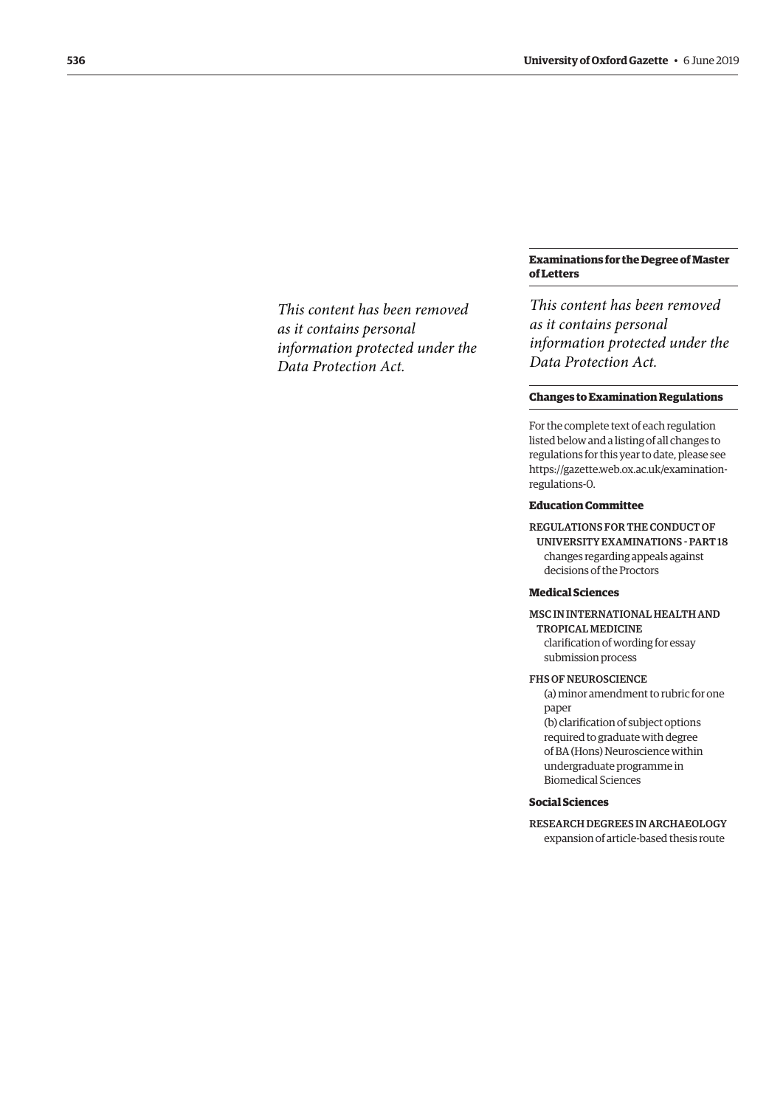*This content has been removed as it contains personal information protected under the Data Protection Act.*

#### **Examinations for the Degree of Master of Letters**

*This content has been removed as it contains personal information protected under the Data Protection Act.*

#### **Changes to Examination Regulations**

For the complete text of each regulation listed below and a listing of all changes to regulations for this year to date, please see [https://gazette.web.ox.ac.uk/examination](https://gazette.web.ox.ac.uk/examination-regulations-0)regulations-0.

#### **Education Committee**

REGULATIONS FOR THE CONDUCT OF UNIVERSITY EXAMINATIONS - PART 18 changes regarding appeals against decisions of the Proctors

#### **Medical Sciences**

MSC IN INTERNATIONAL HEALTH AND TROPICAL MEDICINE

clarification of wording for essay submission process

#### FHS OF NEUROSCIENCE

(a) minor amendment to rubric for one paper (b) clarification of subject options required to graduate with degree of BA (Hons) Neuroscience within undergraduate programme in

Biomedical Sciences

#### **Social Sciences**

RESEARCH DEGREES IN ARCHAEOLOGY expansion of article-based thesis route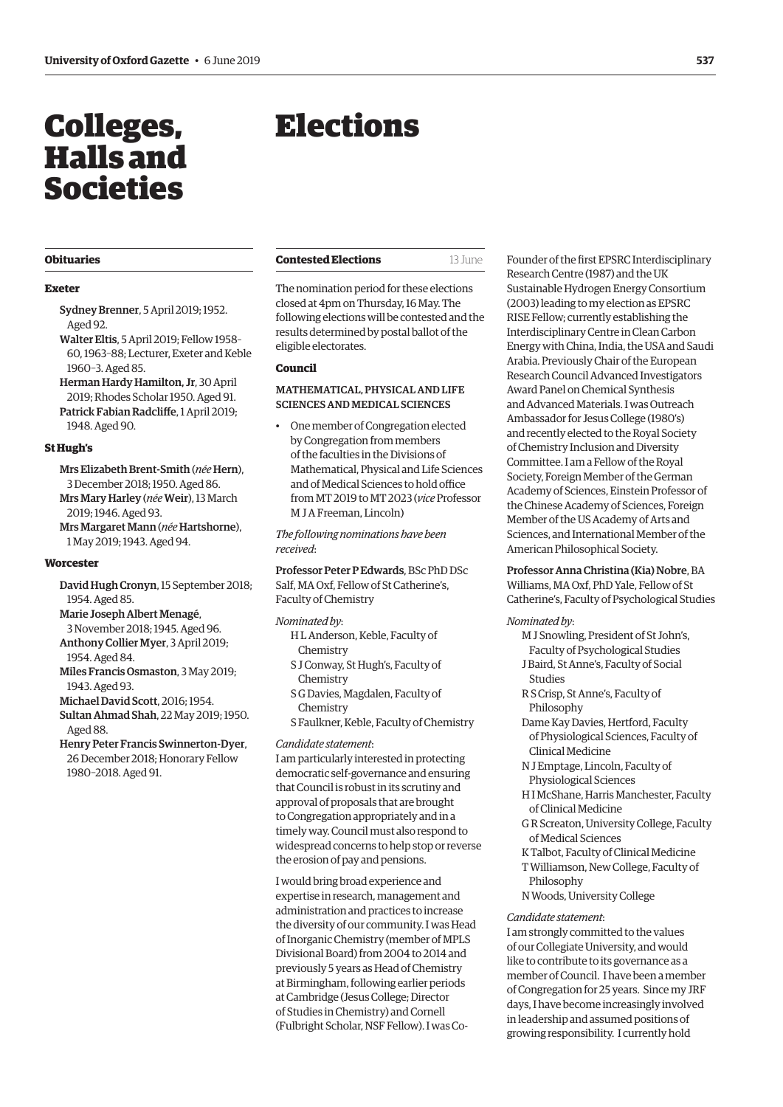## <span id="page-6-0"></span>Colleges, Halls and Societies

## Elections

#### **Obituaries**

#### **Exeter**

- Sydney Brenner, 5 April 2019; 1952. Aged 92.
- Walter Eltis, 5 April 2019; Fellow 1958– 60, 1963–88; Lecturer, Exeter and Keble 1960–3. Aged 85.
- Herman Hardy Hamilton, Jr, 30 April 2019; Rhodes Scholar 1950. Aged 91. Patrick Fabian Radcliffe, 1 April 2019; 1948. Aged 90.

#### **St Hugh's**

Mrs Elizabeth Brent-Smith (*née* Hern), 3 December 2018; 1950. Aged 86. Mrs Mary Harley (*née*Weir), 13 March 2019; 1946. Aged 93.

Mrs Margaret Mann (*née* Hartshorne), 1 May 2019; 1943. Aged 94.

#### **Worcester**

David Hugh Cronyn, 15 September 2018; 1954. Aged 85.

Marie Joseph Albert Menagé,

- 3 November 2018; 1945. Aged 96. Anthony Collier Myer, 3 April 2019;
- 1954. Aged 84.
- Miles Francis Osmaston, 3 May 2019; 1943. Aged 93.
- Michael David Scott, 2016; 1954.
- Sultan Ahmad Shah, 22 May 2019; 1950. Aged 88.
- Henry Peter Francis Swinnerton-Dyer, 26 December 2018; Honorary Fellow 1980–2018. Aged 91.

The nomination period for these elections

closed at 4pm on Thursday, 16 May. The following elections will be contested and the results determined by postal ballot of the eligible electorates.

**Contested Elections** 13 June

#### **Council**

#### MATHEMATICAL, PHYSICAL AND LIFE SCIENCES AND MEDICAL SCIENCES

• One member of Congregation elected by Congregation from members of the faculties in the Divisions of Mathematical, Physical and Life Sciences and of Medical Sciences to hold office from MT 2019 to MT 2023 (*vice* Professor M J A Freeman, Lincoln)

*The following nominations have been received*:

Professor Peter P Edwards, BSc PhD DSc Salf, MA Oxf, Fellow of St Catherine's, Faculty of Chemistry

*Nominated by*:

- H L Anderson, Keble, Faculty of Chemistry
- S J Conway, St Hugh's, Faculty of Chemistry
- S G Davies, Magdalen, Faculty of Chemistry
- S Faulkner, Keble, Faculty of Chemistry

#### *Candidate statement*:

I am particularly interested in protecting democratic self-governance and ensuring that Council is robust in its scrutiny and approval of proposals that are brought to Congregation appropriately and in a timely way. Council must also respond to widespread concerns to help stop or reverse the erosion of pay and pensions.

I would bring broad experience and expertise in research, management and administration and practices to increase the diversity of our community. I was Head of Inorganic Chemistry (member of MPLS Divisional Board) from 2004 to 2014 and previously 5 years as Head of Chemistry at Birmingham, following earlier periods at Cambridge (Jesus College; Director of Studies in Chemistry) and Cornell (Fulbright Scholar, NSF Fellow). I was CoFounder of the first EPSRC Interdisciplinary Research Centre (1987) and the UK Sustainable Hydrogen Energy Consortium (2003) leading to my election as EPSRC RISE Fellow; currently establishing the Interdisciplinary Centre in Clean Carbon Energy with China, India, the USA and Saudi Arabia. Previously Chair of the European Research Council Advanced Investigators Award Panel on Chemical Synthesis and Advanced Materials. I was Outreach Ambassador for Jesus College (1980's) and recently elected to the Royal Society of Chemistry Inclusion and Diversity Committee. I am a Fellow of the Royal Society, Foreign Member of the German Academy of Sciences, Einstein Professor of the Chinese Academy of Sciences, Foreign Member of the US Academy of Arts and Sciences, and International Member of the American Philosophical Society.

Professor Anna Christina (Kia) Nobre, BA Williams, MA Oxf, PhD Yale, Fellow of St Catherine's, Faculty of Psychological Studies

#### *Nominated by*:

- M J Snowling, President of St John's,
- Faculty of Psychological Studies J Baird, St Anne's, Faculty of Social
- Studies R S Crisp, St Anne's, Faculty of Philosophy
- Dame Kay Davies, Hertford, Faculty of Physiological Sciences, Faculty of Clinical Medicine
- N J Emptage, Lincoln, Faculty of Physiological Sciences
- H I McShane, Harris Manchester, Faculty of Clinical Medicine
- G R Screaton, University College, Faculty of Medical Sciences
- K Talbot, Faculty of Clinical Medicine T Williamson, New College, Faculty of
- Philosophy
- N Woods, University College

#### *Candidate statement*:

I am strongly committed to the values of our Collegiate University, and would like to contribute to its governance as a member of Council. I have been a member of Congregation for 25 years. Since my JRF days, I have become increasingly involved in leadership and assumed positions of growing responsibility. I currently hold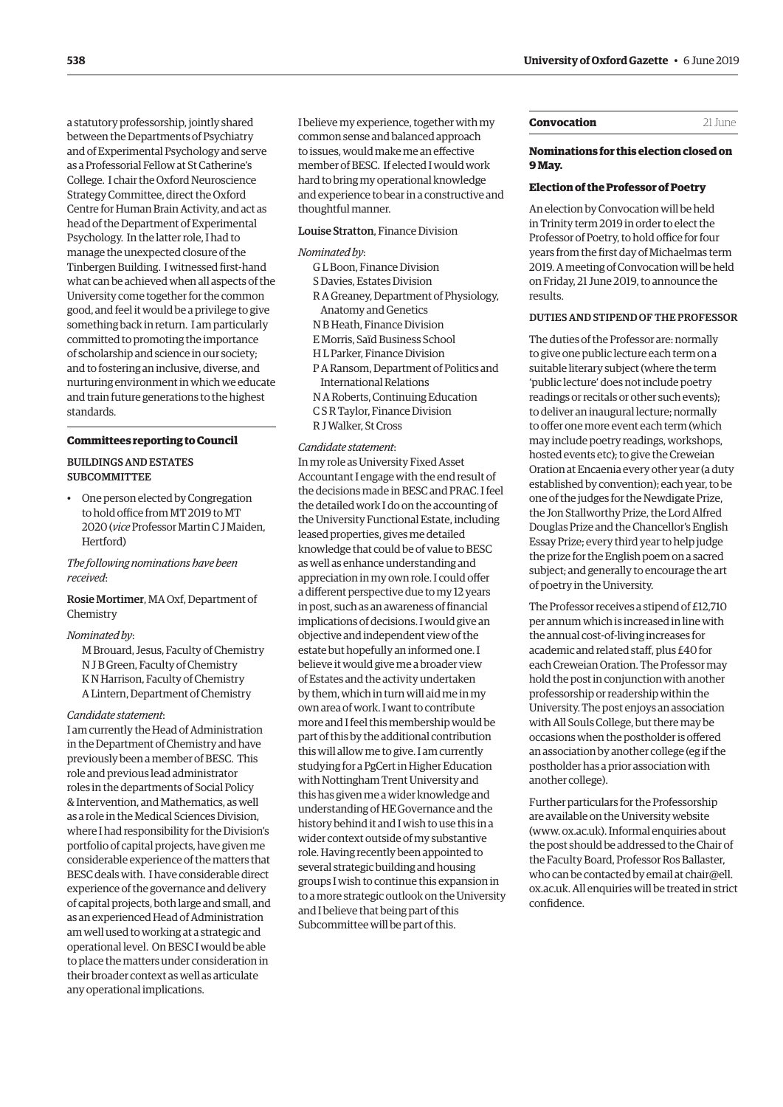a statutory professorship, jointly shared between the Departments of Psychiatry and of Experimental Psychology and serve as a Professorial Fellow at St Catherine's College. I chair the Oxford Neuroscience Strategy Committee, direct the Oxford Centre for Human Brain Activity, and act as head of the Department of Experimental Psychology. In the latter role, I had to manage the unexpected closure of the Tinbergen Building. I witnessed first-hand what can be achieved when all aspects of the University come together for the common good, and feel it would be a privilege to give something back in return. I am particularly committed to promoting the importance of scholarship and science in our society; and to fostering an inclusive, diverse, and nurturing environment in which we educate and train future generations to the highest standards.

#### **Committees reporting to Council**

#### BUILDINGS AND ESTATES SUBCOMMITTEE

• One person elected by Congregation to hold office from MT 2019 to MT 2020 (*vice* Professor Martin C J Maiden, Hertford)

#### *The following nominations have been received*:

Rosie Mortimer, MA Oxf, Department of Chemistry

#### *Nominated by*:

M Brouard, Jesus, Faculty of Chemistry N J B Green, Faculty of Chemistry K N Harrison, Faculty of Chemistry A Lintern, Department of Chemistry

*Candidate statement*:

I am currently the Head of Administration in the Department of Chemistry and have previously been a member of BESC. This role and previous lead administrator roles in the departments of Social Policy & Intervention, and Mathematics, as well as a role in the Medical Sciences Division, where I had responsibility for the Division's portfolio of capital projects, have given me considerable experience of the matters that BESC deals with. I have considerable direct experience of the governance and delivery of capital projects, both large and small, and as an experienced Head of Administration am well used to working at a strategic and operational level. On BESC I would be able to place the matters under consideration in their broader context as well as articulate any operational implications.

I believe my experience, together with my common sense and balanced approach to issues, would make me an effective member of BESC. If elected I would work hard to bring my operational knowledge and experience to bear in a constructive and thoughtful manner.

#### Louise Stratton, Finance Division

#### *Nominated by*:

- G L Boon, Finance Division S Davies, Estates Division R A Greaney, Department of Physiology,
- Anatomy and Genetics N B Heath, Finance Division
- E Morris, Saïd Business School
- H L Parker, Finance Division
- P A Ransom, Department of Politics and International Relations
- N A Roberts, Continuing Education C S R Taylor, Finance Division
- R J Walker, St Cross

#### *Candidate statement*:

In my role as University Fixed Asset Accountant I engage with the end result of the decisions made in BESC and PRAC. I feel the detailed work I do on the accounting of the University Functional Estate, including leased properties, gives me detailed knowledge that could be of value to BESC as well as enhance understanding and appreciation in my own role. I could offer a different perspective due to my 12 years in post, such as an awareness of financial implications of decisions. I would give an objective and independent view of the estate but hopefully an informed one. I believe it would give me a broader view of Estates and the activity undertaken by them, which in turn will aid me in my own area of work. I want to contribute more and I feel this membership would be part of this by the additional contribution this will allow me to give. I am currently studying for a PgCert in Higher Education with Nottingham Trent University and this has given me a wider knowledge and understanding of HE Governance and the history behind it and I wish to use this in a wider context outside of my substantive role. Having recently been appointed to several strategic building and housing groups I wish to continue this expansion in to a more strategic outlook on the University and I believe that being part of this Subcommittee will be part of this.

#### **Convocation** 21 June

#### **Nominations for this election closed on 9 May.**

#### **Election of the Professor of Poetry**

An election by Convocation will be held in Trinity term 2019 in order to elect the Professor of Poetry, to hold office for four years from the first day of Michaelmas term 2019. A meeting of Convocation will be held on Friday, 21 June 2019, to announce the results.

#### DUTIES AND STIPEND OF THE PROFESSOR

The duties of the Professor are: normally to give one public lecture each term on a suitable literary subject (where the term 'public lecture' does not include poetry readings or recitals or other such events); to deliver an inaugural lecture; normally to offer one more event each term (which may include poetry readings, workshops, hosted events etc); to give the Creweian Oration at Encaenia every other year (a duty established by convention); each year, to be one of the judges for the Newdigate Prize, the Jon Stallworthy Prize, the Lord Alfred Douglas Prize and the Chancellor's English Essay Prize; every third year to help judge the prize for the English poem on a sacred subject; and generally to encourage the art of poetry in the University.

The Professor receives a stipend of £12,710 per annum which is increased in line with the annual cost-of-living increases for academic and related staff, plus £40 for each Creweian Oration. The Professor may hold the post in conjunction with another professorship or readership within the University. The post enjoys an association with All Souls College, but there may be occasions when the postholder is offered an association by another college (eg if the postholder has a prior association with another college).

Further particulars for the Professorship are available on the University website [\(www. ox.ac.uk\). I](www.ox.ac.uk)nformal enquiries about the post should be addressed to the Chair of the Faculty Board, Professor Ros Ballaster, who can be contacted by email at chair@ell. [ox.ac.uk. All enquiries will be treated in strict](mailto:chair@ell.ox.ac.uk)  confidence.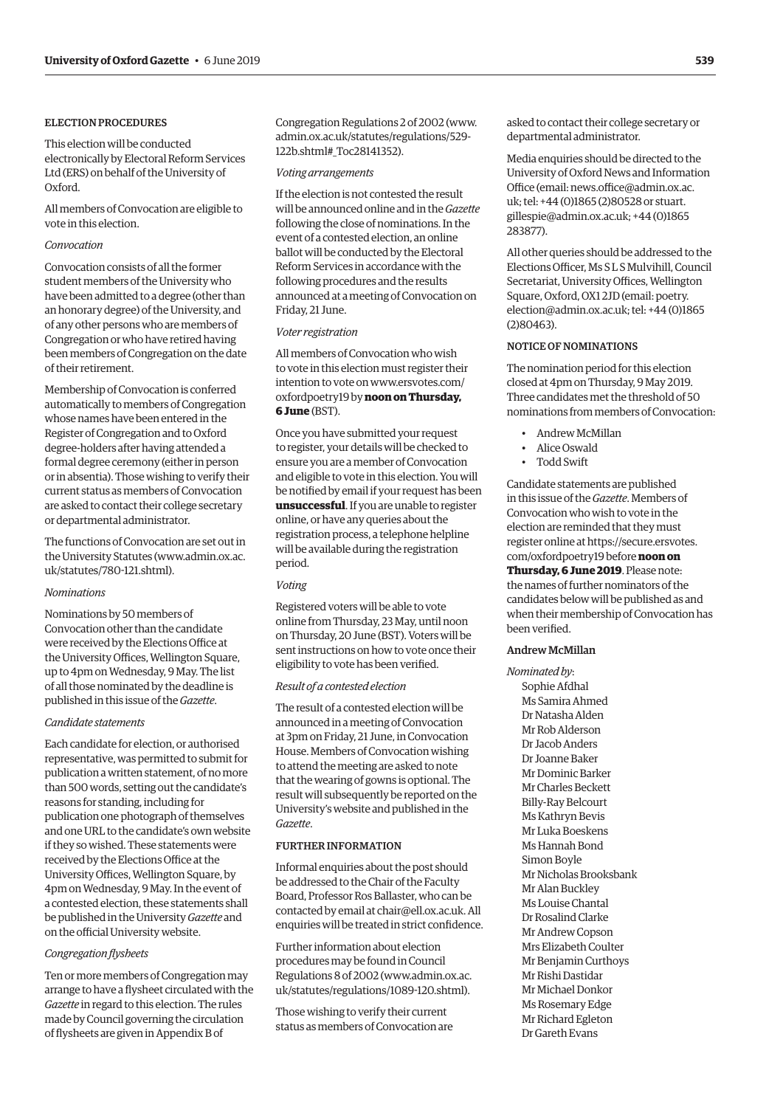#### ELECTION PROCEDURES

This election will be conducted electronically by Electoral Reform Services Ltd (ERS) on behalf of the University of Oxford.

All members of Convocation are eligible to vote in this election.

#### *Convocation*

Convocation consists of all the former student members of the University who have been admitted to a degree (other than an honorary degree) of the University, and of any other persons who are members of Congregation or who have retired having been members of Congregation on the date of their retirement.

Membership of Convocation is conferred automatically to members of Congregation whose names have been entered in the Register of Congregation and to Oxford degree-holders after having attended a formal degree ceremony (either in person or in absentia). Those wishing to verify their current status as members of Convocation are asked to contact their college secretary or departmental administrator.

The functions of Convocation are set out in the University Statutes ([www.admin.ox.ac.](http://www.admin.ox.ac. uk/statutes/780-121.shtml) uk/statutes/780-121.shtml).

#### *Nominations*

Nominations by 50 members of Convocation other than the candidate were received by the Elections Office at the University Offices, Wellington Square, up to 4pm on Wednesday, 9 May. The list of all those nominated by the deadline is published in this issue of the *Gazette*.

#### *Candidate statements*

Each candidate for election, or authorised representative, was permitted to submit for publication a written statement, of no more than 500 words, setting out the candidate's reasons for standing, including for publication one photograph of themselves and one URL to the candidate's own website if they so wished. These statements were received by the Elections Office at the University Offices, Wellington Square, by 4pm on Wednesday, 9 May. In the event of a contested election, these statements shall be published in the University *Gazette* and on the official University website.

#### *Congregation flysheets*

Ten or more members of Congregation may arrange to have a flysheet circulated with the *Gazette* in regard to this election. The rules made by Council governing the circulation of flysheets are given in Appendix B of

Congregation Regulations 2 of 2002 ([www.](http://www.admin.ox.ac.uk/statutes/regulations/529-122b.shtml#_Toc28141352) [admin.ox.ac.uk/statutes/regulations/529-](http://www.admin.ox.ac.uk/statutes/regulations/529-122b.shtml#_Toc28141352) [122b.shtml#\\_Toc28141352\).](http://www.admin.ox.ac.uk/statutes/regulations/529-122b.shtml#_Toc28141352)

#### *Voting arrangements*

If the election is not contested the result will be announced online and in the *Gazette* following the close of nominations. In the event of a contested election, an online ballot will be conducted by the Electoral Reform Services in accordance with the following procedures and the results announced at a meeting of Convocation on Friday, 21 June.

#### *Voter registration*

All members of Convocation who wish to vote in this election must register their [intention to vote on www.ersvotes.com/](www.ersvotes.com/oxfordpoetry19) oxfordpoetry19 by **noon on Thursday, 6 June** (BST).

Once you have submitted your request to register, your details will be checked to ensure you are a member of Convocation and eligible to vote in this election. You will be notified by email if your request has been **unsuccessful**. If you are unable to register online, or have any queries about the registration process, a telephone helpline will be available during the registration period.

#### *Voting*

Registered voters will be able to vote online from Thursday, 23 May, until noon on Thursday, 20 June (BST). Voters will be sent instructions on how to vote once their eligibility to vote has been verified.

#### *Result of a contested election*

The result of a contested election will be announced in a meeting of Convocation at 3pm on Friday, 21 June, in Convocation House. Members of Convocation wishing to attend the meeting are asked to note that the wearing of gowns is optional. The result will subsequently be reported on the University's website and published in the *Gazette*.

#### FURTHER INFORMATION

Informal enquiries about the post should be addressed to the Chair of the Faculty Board, Professor Ros Ballaster, who can be contacted by email at [chair@ell.ox.ac.uk.](mailto:chair@ell.ox.ac.uk) All enquiries will be treated in strict confidence.

Further information about election procedures may be found in Council [Regulations 8 of 2002 \(www.admin.ox.ac.](www.admin.ox.ac.uk/statutes/regulations/1089-120.shtml)  uk/statutes/regulations/1089-120.shtml).

Those wishing to verify their current status as members of Convocation are asked to contact their college secretary or departmental administrator.

Media enquiries should be directed to the University of Oxford News and Information [Office \(email: news.office@admin.ox.ac.](mailto:news.office@admin.ox.ac.uk)  uk; tel: +44 (0)1865 (2)80528 or stuart. [gillespie@admin.ox.ac.uk; +44 \(0\)186](mailto:stuart.gillespie@admin.ox.ac.uk)5 283877).

All other queries should be addressed to the Elections Officer, Ms S L S Mulvihill, Council Secretariat, University Offices, Wellington Square, Oxford, OX1 2JD (email: poetry. [election@admin.ox.ac.uk; tel: +44 \(0\)1865](mailto:poetry.election@admin.ox.ac.uk)  (2)80463).

#### NOTICE OF NOMINATIONS

The nomination period for this election closed at 4pm on Thursday, 9 May 2019. Three candidates met the threshold of 50 nominations from members of Convocation:

- Andrew McMillan
- Alice Oswald
- Todd Swift

Candidate statements are published in this issue of the *Gazette*. Members of Convocation who wish to vote in the election are reminded that they must register online at [https://secure.ersvotes.](https://secure.ersvotes.com/oxfordpoetry19) [com/oxfordpoetry19](https://secure.ersvotes.com/oxfordpoetry19) before **noon on** 

**Thursday, 6 June 2019**. Please note: the names of further nominators of the candidates below will be published as and when their membership of Convocation has been verified.

#### Andrew McMillan

*Nominated by*: Sophie Afdhal Ms Samira Ahmed Dr Natasha Alden Mr Rob Alderson Dr Jacob Anders Dr Joanne Baker Mr Dominic Barker Mr Charles Beckett Billy-Ray Belcourt Ms Kathryn Bevis Mr Luka Boeskens Ms Hannah Bond Simon Boyle Mr Nicholas Brooksbank Mr Alan Buckley Ms Louise Chantal Dr Rosalind Clarke Mr Andrew Copson Mrs Elizabeth Coulter Mr Benjamin Curthoys Mr Rishi Dastidar Mr Michael Donkor Ms Rosemary Edge Mr Richard Egleton Dr Gareth Evans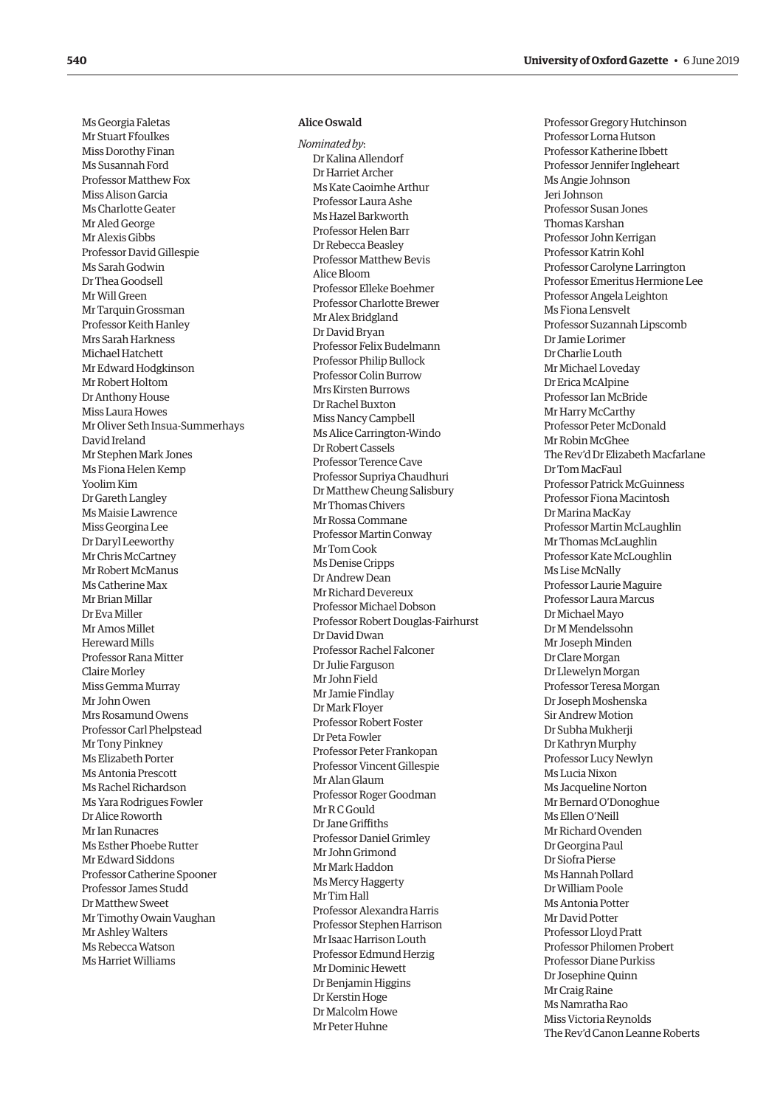Ms Georgia Faletas Mr Stuart Ffoulkes Miss Dorothy Finan Ms Susannah Ford Professor Matthew Fox Miss Alison Garcia Ms Charlotte Geater Mr Aled George Mr Alexis Gibbs Professor David Gillespie Ms Sarah Godwin Dr Thea Goodsell Mr Will Green Mr Tarquin Grossman Professor Keith Hanley Mrs Sarah Harkness Michael Hatchett Mr Edward Hodgkinson Mr Robert Holtom Dr Anthony House Miss Laura Howes Mr Oliver Seth Insua-Summerhays David Ireland Mr Stephen Mark Jones Ms Fiona Helen Kemp Yoolim Kim Dr Gareth Langley Ms Maisie Lawrence Miss Georgina Lee Dr Daryl Leeworthy Mr Chris McCartney Mr Robert McManus Ms Catherine Max Mr Brian Millar Dr Eva Miller Mr Amos Millet Hereward Mills Professor Rana Mitter Claire Morley Miss Gemma Murray Mr John Owen Mrs Rosamund Owens Professor Carl Phelpstead Mr Tony Pinkney Ms Elizabeth Porter Ms Antonia Prescott Ms Rachel Richardson Ms Yara Rodrigues Fowler Dr Alice Roworth Mr Ian Runacres Ms Esther Phoebe Rutter Mr Edward Siddons Professor Catherine Spooner Professor James Studd Dr Matthew Sweet Mr Timothy Owain Vaughan Mr Ashley Walters Ms Rebecca Watson Ms Harriet Williams

#### Alice Oswald

*Nominated by*: Dr Kalina Allendorf Dr Harriet Archer Ms Kate Caoimhe Arthur Professor Laura Ashe Ms Hazel Barkworth Professor Helen Barr Dr Rebecca Beasley Professor Matthew Bevis Alice Bloom Professor Elleke Boehmer Professor Charlotte Brewer Mr Alex Bridgland Dr David Bryan Professor Felix Budelmann Professor Philip Bullock Professor Colin Burrow Mrs Kirsten Burrows Dr Rachel Buxton Miss Nancy Campbell Ms Alice Carrington-Windo Dr Robert Cassels Professor Terence Cave Professor Supriya Chaudhuri Dr Matthew Cheung Salisbury Mr Thomas Chivers Mr Rossa Commane Professor Martin Conway Mr Tom Cook Ms Denise Cripps Dr Andrew Dean Mr Richard Devereux Professor Michael Dobson Professor Robert Douglas-Fairhurst Dr David Dwan Professor Rachel Falconer Dr Julie Farguson Mr John Field Mr Jamie Findlay Dr Mark Floyer Professor Robert Foster Dr Peta Fowler Professor Peter Frankopan Professor Vincent Gillespie Mr Alan Glaum Professor Roger Goodman Mr R C Gould Dr Jane Griffiths Professor Daniel Grimley Mr John Grimond Mr Mark Haddon Ms Mercy Haggerty Mr Tim Hall Professor Alexandra Harris Professor Stephen Harrison Mr Isaac Harrison Louth Professor Edmund Herzig Mr Dominic Hewett Dr Benjamin Higgins Dr Kerstin Hoge Dr Malcolm Howe Mr Peter Huhne

Professor Gregory Hutchinson Professor Lorna Hutson Professor Katherine Ibbett Professor Jennifer Ingleheart Ms Angie Johnson Jeri Johnson Professor Susan Jones Thomas Karshan Professor John Kerrigan Professor Katrin Kohl Professor Carolyne Larrington Professor Emeritus Hermione Lee Professor Angela Leighton Ms Fiona Lensvelt Professor Suzannah Lipscomb Dr Jamie Lorimer Dr Charlie Louth Mr Michael Loveday Dr Erica McAlpine Professor Ian McBride Mr Harry McCarthy Professor Peter McDonald Mr Robin McGhee The Rev'd Dr Elizabeth Macfarlane Dr Tom MacFaul Professor Patrick McGuinness Professor Fiona Macintosh Dr Marina MacKay Professor Martin McLaughlin Mr Thomas McLaughlin Professor Kate McLoughlin Ms Lise McNally Professor Laurie Maguire Professor Laura Marcus Dr Michael Mayo Dr M Mendelssohn Mr Joseph Minden Dr Clare Morgan Dr Llewelyn Morgan Professor Teresa Morgan Dr Joseph Moshenska Sir Andrew Motion Dr Subha Mukherji Dr Kathryn Murphy Professor Lucy Newlyn Ms Lucia Nixon Ms Jacqueline Norton Mr Bernard O'Donoghue Ms Ellen O'Neill Mr Richard Ovenden Dr Georgina Paul Dr Siofra Pierse Ms Hannah Pollard Dr William Poole Ms Antonia Potter Mr David Potter Professor Lloyd Pratt Professor Philomen Probert Professor Diane Purkiss Dr Josephine Quinn Mr Craig Raine Ms Namratha Rao Miss Victoria Reynolds The Rev'd Canon Leanne Roberts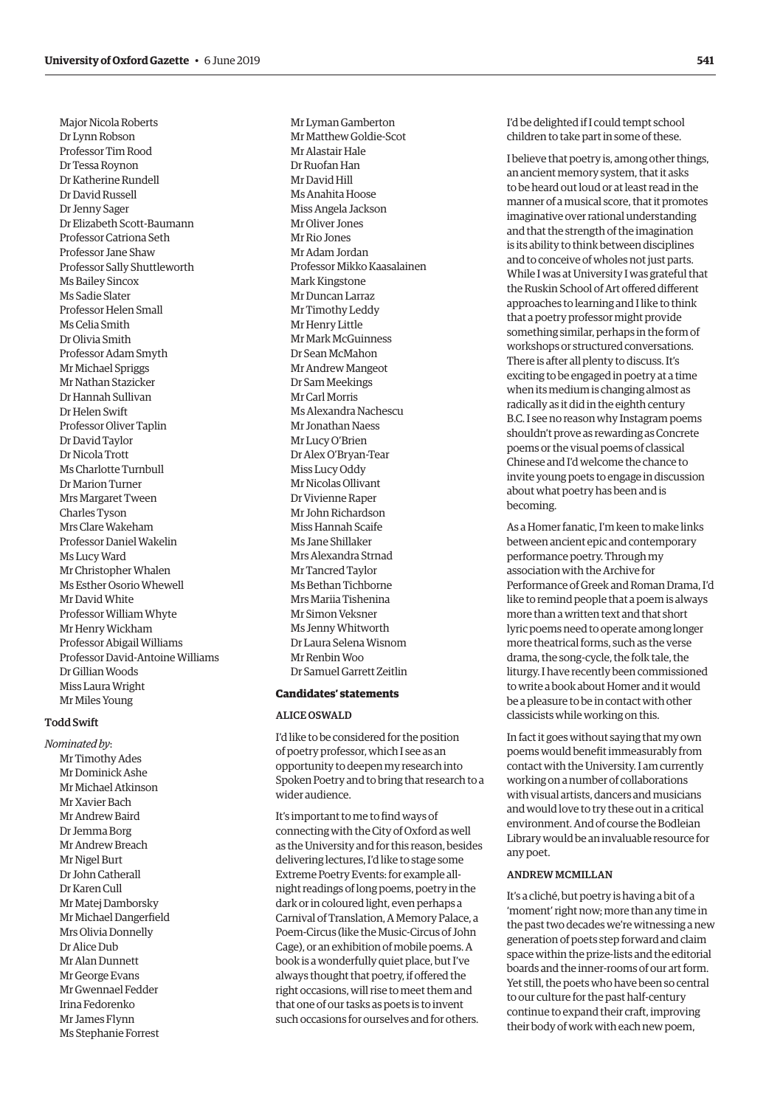Major Nicola Roberts Dr Lynn Robson Professor Tim Rood Dr Tessa Roynon Dr Katherine Rundell Dr David Russell Dr Jenny Sager Dr Elizabeth Scott-Baumann Professor Catriona Seth Professor Jane Shaw Professor Sally Shuttleworth Ms Bailey Sincox Ms Sadie Slater Professor Helen Small Ms Celia Smith Dr Olivia Smith Professor Adam Smyth Mr Michael Spriggs Mr Nathan Stazicker Dr Hannah Sullivan Dr Helen Swift Professor Oliver Taplin Dr David Taylor Dr Nicola Trott Ms Charlotte Turnbull Dr Marion Turner Mrs Margaret Tween Charles Tyson Mrs Clare Wakeham Professor Daniel Wakelin Ms Lucy Ward Mr Christopher Whalen Ms Esther Osorio Whewell Mr David White Professor William Whyte Mr Henry Wickham Professor Abigail Williams Professor David-Antoine Williams Dr Gillian Woods Miss Laura Wright Mr Miles Young

#### Todd Swift

*Nominated by*: Mr Timothy Ades Mr Dominick Ashe Mr Michael Atkinson Mr Xavier Bach Mr Andrew Baird Dr Jemma Borg Mr Andrew Breach Mr Nigel Burt Dr John Catherall Dr Karen Cull Mr Matej Damborsky Mr Michael Dangerfield Mrs Olivia Donnelly Dr Alice Dub Mr Alan Dunnett Mr George Evans Mr Gwennael Fedder Irina Fedorenko Mr James Flynn Ms Stephanie Forrest

Mr Lyman Gamberton Mr Matthew Goldie-Scot Mr Alastair Hale Dr Ruofan Han Mr David Hill Ms Anahita Hoose Miss Angela Jackson Mr Oliver Jones Mr Rio Jones Mr Adam Jordan Professor Mikko Kaasalainen Mark Kingstone Mr Duncan Larraz Mr Timothy Leddy Mr Henry Little Mr Mark McGuinness Dr Sean McMahon Mr Andrew Mangeot Dr Sam Meekings Mr Carl Morris Ms Alexandra Nachescu Mr Jonathan Naess Mr Lucy O'Brien Dr Alex O'Bryan-Tear Miss Lucy Oddy Mr Nicolas Ollivant Dr Vivienne Raper Mr John Richardson Miss Hannah Scaife Ms Jane Shillaker Mrs Alexandra Strnad Mr Tancred Taylor Ms Bethan Tichborne Mrs Mariia Tishenina Mr Simon Veksner Ms Jenny Whitworth Dr Laura Selena Wisnom Mr Renbin Woo Dr Samuel Garrett Zeitlin

#### **Candidates' statements**

#### ALICE OSWALD

I'd like to be considered for the position of poetry professor, which I see as an opportunity to deepen my research into Spoken Poetry and to bring that research to a wider audience.

It's important to me to find ways of connecting with the City of Oxford as well as the University and for this reason, besides delivering lectures, I'd like to stage some Extreme Poetry Events: for example allnight readings of long poems, poetry in the dark or in coloured light, even perhaps a Carnival of Translation, A Memory Palace, a Poem-Circus (like the Music-Circus of John Cage), or an exhibition of mobile poems. A book is a wonderfully quiet place, but I've always thought that poetry, if offered the right occasions, will rise to meet them and that one of our tasks as poets is to invent such occasions for ourselves and for others.

I'd be delighted if I could tempt school children to take part in some of these.

I believe that poetry is, among other things, an ancient memory system, that it asks to be heard out loud or at least read in the manner of a musical score, that it promotes imaginative over rational understanding and that the strength of the imagination is its ability to think between disciplines and to conceive of wholes not just parts. While I was at University I was grateful that the Ruskin School of Art offered different approaches to learning and I like to think that a poetry professor might provide something similar, perhaps in the form of workshops or structured conversations. There is after all plenty to discuss. It's exciting to be engaged in poetry at a time when its medium is changing almost as radically as it did in the eighth century B.C. I see no reason why Instagram poems shouldn't prove as rewarding as Concrete poems or the visual poems of classical Chinese and I'd welcome the chance to invite young poets to engage in discussion about what poetry has been and is becoming.

As a Homer fanatic, I'm keen to make links between ancient epic and contemporary performance poetry. Through my association with the Archive for Performance of Greek and Roman Drama, I'd like to remind people that a poem is always more than a written text and that short lyric poems need to operate among longer more theatrical forms, such as the verse drama, the song-cycle, the folk tale, the liturgy. I have recently been commissioned to write a book about Homer and it would be a pleasure to be in contact with other classicists while working on this.

In fact it goes without saying that my own poems would benefit immeasurably from contact with the University. I am currently working on a number of collaborations with visual artists, dancers and musicians and would love to try these out in a critical environment. And of course the Bodleian Library would be an invaluable resource for any poet.

#### ANDREW MCMILLAN

It's a cliché, but poetry is having a bit of a 'moment' right now; more than any time in the past two decades we're witnessing a new generation of poets step forward and claim space within the prize-lists and the editorial boards and the inner-rooms of our art form. Yet still, the poets who have been so central to our culture for the past half-century continue to expand their craft, improving their body of work with each new poem,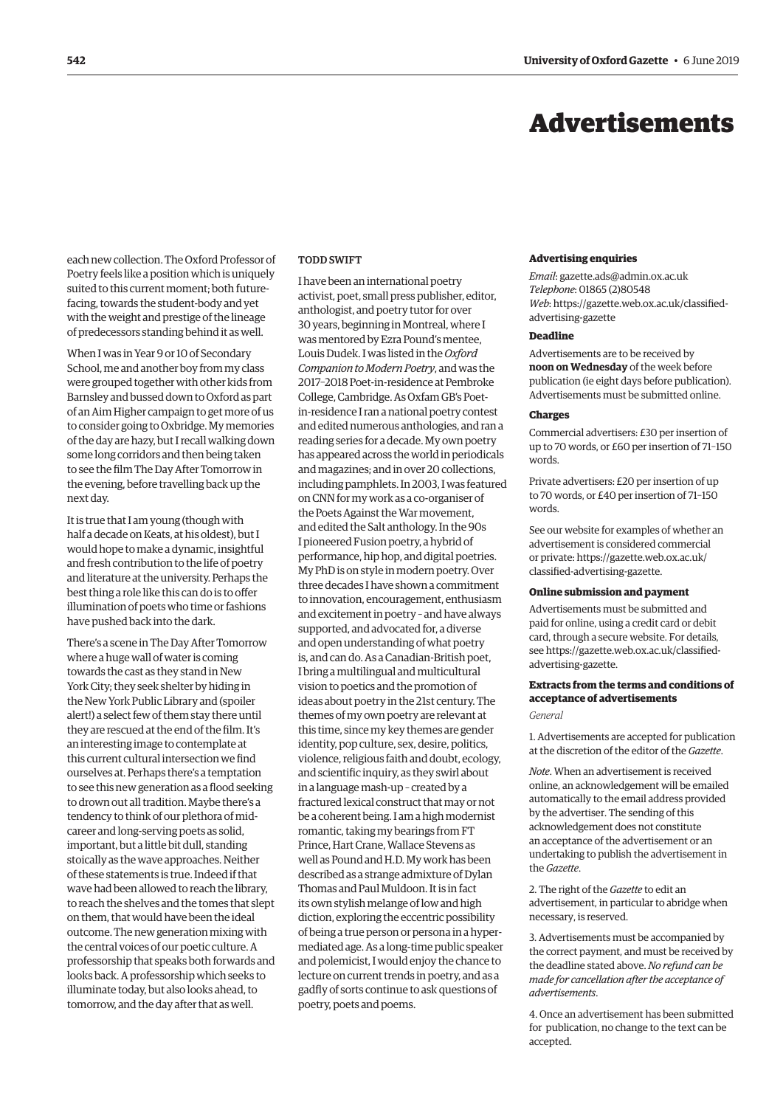## Advertisements

<span id="page-11-0"></span>each new collection. The Oxford Professor of Poetry feels like a position which is uniquely suited to this current moment; both futurefacing, towards the student-body and yet with the weight and prestige of the lineage of predecessors standing behind it as well.

When I was in Year 9 or 10 of Secondary School, me and another boy from my class were grouped together with other kids from Barnsley and bussed down to Oxford as part of an Aim Higher campaign to get more of us to consider going to Oxbridge. My memories of the day are hazy, but I recall walking down some long corridors and then being taken to see the film The Day After Tomorrow in the evening, before travelling back up the next day.

It is true that I am young (though with half a decade on Keats, at his oldest), but I would hope to make a dynamic, insightful and fresh contribution to the life of poetry and literature at the university. Perhaps the best thing a role like this can do is to offer illumination of poets who time or fashions have pushed back into the dark.

There's a scene in The Day After Tomorrow where a huge wall of water is coming towards the cast as they stand in New York City; they seek shelter by hiding in the New York Public Library and (spoiler alert!) a select few of them stay there until they are rescued at the end of the film. It's an interesting image to contemplate at this current cultural intersection we find ourselves at. Perhaps there's a temptation to see this new generation as a flood seeking to drown out all tradition. Maybe there's a tendency to think of our plethora of midcareer and long-serving poets as solid, important, but a little bit dull, standing stoically as the wave approaches. Neither of these statements is true. Indeed if that wave had been allowed to reach the library, to reach the shelves and the tomes that slept on them, that would have been the ideal outcome. The new generation mixing with the central voices of our poetic culture. A professorship that speaks both forwards and looks back. A professorship which seeks to illuminate today, but also looks ahead, to tomorrow, and the day after that as well.

#### TODD SWIFT

I have been an international poetry activist, poet, small press publisher, editor, anthologist, and poetry tutor for over 30 years, beginning in Montreal, where I was mentored by Ezra Pound's mentee, Louis Dudek. I was listed in the *Oxford Companion to Modern Poetry*, and was the 2017–2018 Poet-in-residence at Pembroke College, Cambridge. As Oxfam GB's Poetin-residence I ran a national poetry contest and edited numerous anthologies, and ran a reading series for a decade. My own poetry has appeared across the world in periodicals and magazines; and in over 20 collections, including pamphlets. In 2003, I was featured on CNN for my work as a co-organiser of the Poets Against the War movement, and edited the Salt anthology. In the 90s I pioneered Fusion poetry, a hybrid of performance, hip hop, and digital poetries. My PhD is on style in modern poetry. Over three decades I have shown a commitment to innovation, encouragement, enthusiasm and excitement in poetry – and have always supported, and advocated for, a diverse and open understanding of what poetry is, and can do. As a Canadian-British poet, I bring a multilingual and multicultural vision to poetics and the promotion of ideas about poetry in the 21st century. The themes of my own poetry are relevant at this time, since my key themes are gender identity, pop culture, sex, desire, politics, violence, religious faith and doubt, ecology, and scientific inquiry, as they swirl about in a language mash-up – created by a fractured lexical construct that may or not be a coherent being. I am a high modernist romantic, taking my bearings from FT Prince, Hart Crane, Wallace Stevens as well as Pound and H.D. My work has been described as a strange admixture of Dylan Thomas and Paul Muldoon. It is in fact its own stylish melange of low and high diction, exploring the eccentric possibility of being a true person or persona in a hypermediated age. As a long-time public speaker and polemicist, I would enjoy the chance to lecture on current trends in poetry, and as a gadfly of sorts continue to ask questions of poetry, poets and poems.

#### **Advertising enquiries**

*Email*: [gazette.ads@admin.ox.ac.uk](mailto:gazette.ads@admin.ox.ac.uk) *Telephone*: 01865 (2)80548 *Web*[: https://gazette.web.ox.ac.uk/classified](https://gazette.web.ox.ac.uk/classified-advertising-gazette)advertising-gazette

#### **Deadline**

Advertisements are to be received by **noon on Wednesday** of the week before publication (ie eight days before publication). Advertisements must be submitted online.

#### **Charges**

Commercial advertisers: £30 per insertion of up to 70 words, or £60 per insertion of 71–150 words.

Private advertisers: £20 per insertion of up to 70 words, or £40 per insertion of 71–150 words.

See our website for examples of whether an advertisement is considered commercial [or private: https://gazette.web.ox.ac.uk/](https://gazette.web.ox.ac.uk/classified-advertising-gazette) classified-advertising-gazette.

#### **Online submission and payment**

Advertisements must be submitted and paid for online, using a credit card or debit card, through a secure website. For details, [see https://gazette.web.ox.ac.uk/classified](https://gazette.web.ox.ac.uk/classified-advertising-gazette)advertising-gazette.

#### **Extracts from the terms and conditions of acceptance of advertisements**

*General*

1. Advertisements are accepted for publication at the discretion of the editor of the *Gazette*.

*Note*. When an advertisement is received online, an acknowledgement will be emailed automatically to the email address provided by the advertiser. The sending of this acknowledgement does not constitute an acceptance of the advertisement or an undertaking to publish the advertisement in the *Gazette*.

2. The right of the *Gazette* to edit an advertisement, in particular to abridge when necessary, is reserved.

3. Advertisements must be accompanied by the correct payment, and must be received by the deadline stated above. *No refund can be made for cancellation after the acceptance of advertisements*.

4. Once an advertisement has been submitted for publication, no change to the text can be accepted.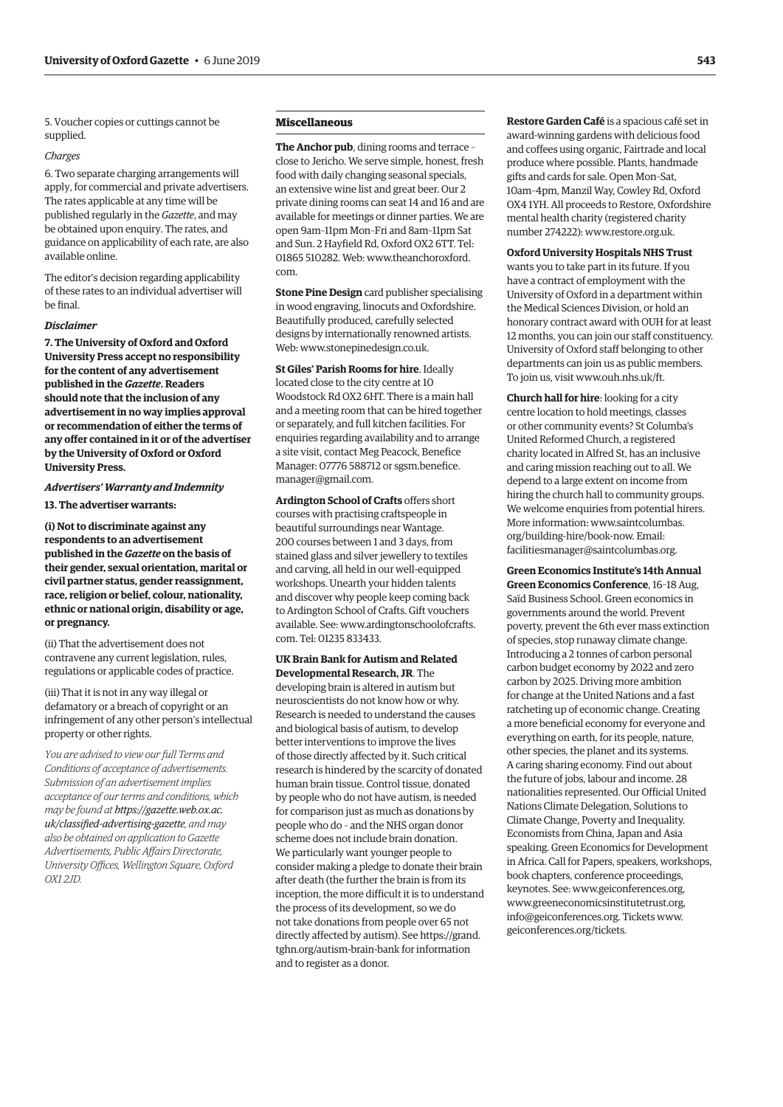5. Voucher copies or cuttings cannot be supplied.

#### *Charges*

6. Two separate charging arrangements will apply, for commercial and private advertisers. The rates applicable at any time will be published regularly in the *Gazette*, and may be obtained upon enquiry. The rates, and guidance on applicability of each rate, are also available online.

The editor's decision regarding applicability of these rates to an individual advertiser will be final.

#### *Disclaimer*

**7. The University of Oxford and Oxford University Press accept no responsibility for the content of any advertisement published in the** *Gazette***. Readers should note that the inclusion of any advertisement in no way implies approval or recommendation of either the terms of any offer contained in it or of the advertiser by the University of Oxford or Oxford University Press.**

#### *Advertisers' Warranty and Indemnity* **13. The advertiser warrants:**

**(i) Not to discriminate against any respondents to an advertisement published in the** *Gazette* **on the basis of their gender, sexual orientation, marital or civil partner status, gender reassignment, race, religion or belief, colour, nationality, ethnic or national origin, disability or age, or pregnancy.**

(ii) That the advertisement does not contravene any current legislation, rules, regulations or applicable codes of practice.

(iii) That it is not in any way illegal or defamatory or a breach of copyright or an infringement of any other person's intellectual property or other rights.

*You are advised to view our full Terms and Conditions of acceptance of advertisements. Submission of an advertisement implies acceptance of our terms and conditions, which may be found at https://gazette.web.ox.ac. [uk/classified-advertising-gazette](https://gazette.web.ox.ac.uk/classified-advertising-gazette), and may also be obtained on application to Gazette Advertisements, Public Affairs Directorate, University Offices, Wellington Square, Oxford OX1 2JD.*

#### **Miscellaneous**

**The Anchor pub**, dining rooms and terrace – close to Jericho. We serve simple, honest, fresh food with daily changing seasonal specials, an extensive wine list and great beer. Our 2 private dining rooms can seat 14 and 16 and are available for meetings or dinner parties. We are open 9am–11pm Mon–Fri and 8am–11pm Sat and Sun. 2 Hayfield Rd, Oxford OX2 6TT. Tel: 01865 510282. Web: [www.theanchoroxford.](http://www.theanchoroxford.com) [com.](http://www.theanchoroxford.com)

**Stone Pine Design** card publisher specialising in wood engraving, linocuts and Oxfordshire. Beautifully produced, carefully selected designs by internationally renowned artists. Web: [www.stonepinedesign.co.uk.](http://www.stonepinedesign.co.uk)

**St Giles' Parish Rooms for hire**. Ideally located close to the city centre at 10 Woodstock Rd OX2 6HT. There is a main hall and a meeting room that can be hired together or separately, and full kitchen facilities. For enquiries regarding availability and to arrange a site visit, contact Meg Peacock, Benefice Manager: 07776 588712 or [sgsm.benefice.](mailto:sgsm.benefice.manager@gmail.com) [manager@gmail.com](mailto:sgsm.benefice.manager@gmail.com).

**Ardington School of Crafts** offers short courses with practising craftspeople in beautiful surroundings near Wantage. 200 courses between 1 and 3 days, from stained glass and silver jewellery to textiles and carving, all held in our well-equipped workshops. Unearth your hidden talents and discover why people keep coming back to Ardington School of Crafts. Gift vouchers available. See: [www.ardingtonschoolofcrafts.](http://www.ardingtonschoolofcrafts.com) [com.](http://www.ardingtonschoolofcrafts.com) Tel: 01235 833433.

#### **UK Brain Bank for Autism and Related Developmental Research, JR**. The

developing brain is altered in autism but neuroscientists do not know how or why. Research is needed to understand the causes and biological basis of autism, to develop better interventions to improve the lives of those directly affected by it. Such critical research is hindered by the scarcity of donated human brain tissue. Control tissue, donated by people who do not have autism, is needed for comparison just as much as donations by people who do – and the NHS organ donor scheme does not include brain donation. We particularly want younger people to consider making a pledge to donate their brain after death (the further the brain is from its inception, the more difficult it is to understand the process of its development, so we do not take donations from people over 65 not directly affected by autism). See [https://grand.](https://grand.tghn.org/autism-brain-bank) [tghn.org/autism-brain-bank](https://grand.tghn.org/autism-brain-bank) for information and to register as a donor.

**Restore Garden Café** is a spacious café set in award-winning gardens with delicious food and coffees using organic, Fairtrade and local produce where possible. Plants, handmade gifts and cards for sale. Open Mon–Sat, 10am–4pm, Manzil Way, Cowley Rd, Oxford OX4 1YH. All proceeds to Restore, Oxfordshire mental health charity (registered charity number 274222): [www.restore.org.uk.](http://www.restore.org.uk)

**Oxford University Hospitals NHS Trust**  wants you to take part in its future. If you have a contract of employment with the University of Oxford in a department within the Medical Sciences Division, or hold an honorary contract award with OUH for at least 12 months, you can join our staff constituency. University of Oxford staff belonging to other departments can join us as public members. To join us, visit [www.ouh.nhs.uk/ft.](http://www.ouh.nhs.uk/ft)

**Church hall for hire**: looking for a city centre location to hold meetings, classes or other community events? St Columba's United Reformed Church, a registered charity located in Alfred St, has an inclusive and caring mission reaching out to all. We depend to a large extent on income from hiring the church hall to community groups. We welcome enquiries from potential hirers. More information: [www.saintcolumbas.](http://www.saintcolumbas.org/building-hire/book-now) [org/building-hire/book-now.](http://www.saintcolumbas.org/building-hire/book-now) Email: [facilitiesmanager@saintcolumbas.org](mailto:facilitiesmanager@saintcolumbas.org).

**Green Economics Institute's 14th Annual Green Economics Conference**, 16–18 Aug, Saïd Business School. Green economics in governments around the world. Prevent poverty, prevent the 6th ever mass extinction of species, stop runaway climate change. Introducing a 2 tonnes of carbon personal carbon budget economy by 2022 and zero carbon by 2025. Driving more ambition for change at the United Nations and a fast ratcheting up of economic change. Creating a more beneficial economy for everyone and everything on earth, for its people, nature, other species, the planet and its systems. A caring sharing economy. Find out about the future of jobs, labour and income. 28 nationalities represented. Our Official United Nations Climate Delegation, Solutions to Climate Change, Poverty and Inequality. Economists from China, Japan and Asia speaking. Green Economics for Development in Africa. Call for Papers, speakers, workshops, book chapters, conference proceedings, keynotes. See: [www.geiconferences.org](http://www.geiconferences.org), [www.greeneconomicsinstitutetrust.org,](http://www.greeneconomicsinstitutetrust.org) [info@geiconferences.org](mailto:info@geiconferences.org). Tickets [www.](http://www.geiconferences.org/tickets) [geiconferences.org/tickets.](http://www.geiconferences.org/tickets)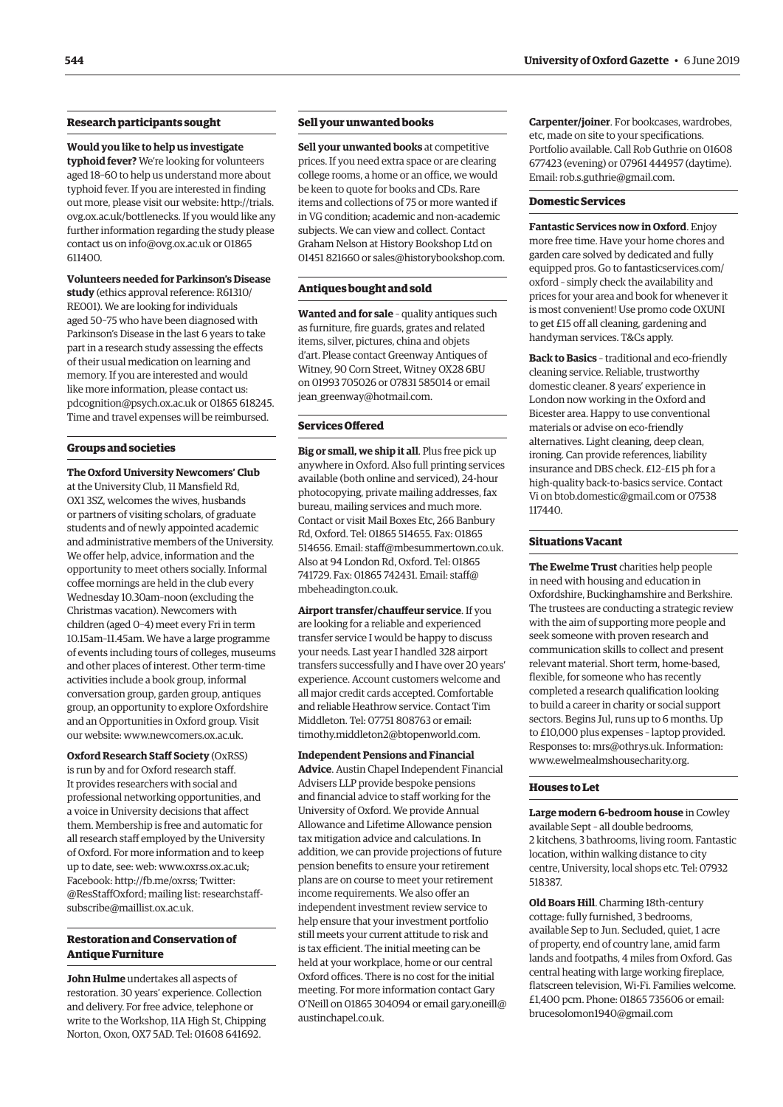#### **Research participants sought**

**Would you like to help us investigate typhoid fever?** We're looking for volunteers aged 18–60 to help us understand more about typhoid fever. If you are interested in finding out more, please visit our website: [http://trials.](http://trials.ovg.ox.ac.uk/bottlenecks) [ovg.ox.ac.uk/bottlenecks.](http://trials.ovg.ox.ac.uk/bottlenecks) If you would like any further information regarding the study please contact us on [info@ovg.ox.ac.uk](mailto:info@ovg.ox.ac.uk) or 01865 611400.

#### **Volunteers needed for Parkinson's Disease**

**study** (ethics approval reference: R61310/ RE001). We are looking for individuals aged 50–75 who have been diagnosed with Parkinson's Disease in the last 6 years to take part in a research study assessing the effects of their usual medication on learning and memory. If you are interested and would like more information, please contact us: [pdcognition@psych.ox.ac.uk](mailto:pdcognition@psych.ox.ac.uk) or 01865 618245. Time and travel expenses will be reimbursed.

#### **Groups and societies**

**The Oxford University Newcomers' Club** at the University Club, 11 Mansfield Rd, OX1 3SZ, welcomes the wives, husbands or partners of visiting scholars, of graduate students and of newly appointed academic and administrative members of the University. We offer help, advice, information and the opportunity to meet others socially. Informal coffee mornings are held in the club every Wednesday 10.30am–noon (excluding the Christmas vacation). Newcomers with children (aged 0–4) meet every Fri in term 10.15am–11.45am. We have a large programme of events including tours of colleges, museums and other places of interest. Other term-time activities include a book group, informal conversation group, garden group, antiques group, an opportunity to explore Oxfordshire and an Opportunities in Oxford group. Visit our website: [www.newcomers.ox.ac.uk](http://www.newcomers.ox.ac.uk).

**Oxford Research Staff Society** (OxRSS) is run by and for Oxford research staff. It provides researchers with social and professional networking opportunities, and a voice in University decisions that affect them. Membership is free and automatic for all research staff employed by the University of Oxford. For more information and to keep up to date, see: web: [www.oxrss.ox.ac.uk;](http://www.oxrss.ox.ac.uk) Facebook:<http://fb.me/oxrss;> Twitter: @ResStaffOxford; mailing list: [researchstaff](mailto:researchstaff-subscribe@maillist.ox.ac.uk)[subscribe@maillist.ox.ac.uk.](mailto:researchstaff-subscribe@maillist.ox.ac.uk)

#### **Restoration and Conservation of Antique Furniture**

**John Hulme** undertakes all aspects of restoration. 30 years' experience. Collection and delivery. For free advice, telephone or write to the Workshop, 11A High St, Chipping Norton, Oxon, OX7 5AD. Tel: 01608 641692.

#### **Sell your unwanted books**

**Sell your unwanted books** at competitive prices. If you need extra space or are clearing college rooms, a home or an office, we would be keen to quote for books and CDs. Rare items and collections of 75 or more wanted if in VG condition; academic and non-academic subjects. We can view and collect. Contact Graham Nelson at History Bookshop Ltd on 01451 821660 or [sales@historybookshop.com](mailto:sales@historybookshop.com).

#### **Antiques bought and sold**

**Wanted and for sale** – quality antiques such as furniture, fire guards, grates and related items, silver, pictures, china and objets d'art. Please contact Greenway Antiques of Witney, 90 Corn Street, Witney OX28 6BU on 01993 705026 or 07831 585014 or email [jean\\_greenway@hotmail.com](mailto:jean_greenway@hotmail.com).

#### **Services Offered**

**Big or small, we ship it all**. Plus free pick up anywhere in Oxford. Also full printing services available (both online and serviced), 24-hour photocopying, private mailing addresses, fax bureau, mailing services and much more. Contact or visit Mail Boxes Etc, 266 Banbury Rd, Oxford. Tel: 01865 514655. Fax: 01865 514656. Email: [staff@mbesummertown.co.uk](mailto:staff@mbesummertown.co.uk). Also at 94 London Rd, Oxford. Tel: 01865 741729. Fax: 01865 742431. Email: [staff@](mailto:staff@mbeheadington.co.uk) [mbeheadington.co.uk](mailto:staff@mbeheadington.co.uk).

**Airport transfer/chauffeur service**. If you are looking for a reliable and experienced transfer service I would be happy to discuss your needs. Last year I handled 328 airport transfers successfully and I have over 20 years' experience. Account customers welcome and all major credit cards accepted. Comfortable and reliable Heathrow service. Contact Tim Middleton. Tel: 07751 808763 or email: [timothy.middleton2@btopenworld.com.](mailto:timothy.middleton2@btopenworld.com)

**Independent Pensions and Financial Advice**. Austin Chapel Independent Financial Advisers LLP provide bespoke pensions and financial advice to staff working for the University of Oxford. We provide Annual Allowance and Lifetime Allowance pension tax mitigation advice and calculations. In addition, we can provide projections of future pension benefits to ensure your retirement plans are on course to meet your retirement income requirements. We also offer an independent investment review service to help ensure that your investment portfolio still meets your current attitude to risk and is tax efficient. The initial meeting can be held at your workplace, home or our central Oxford offices. There is no cost for the initial meeting. For more information contact Gary O'Neill on 01865 304094 or email [gary.oneill@](mailto:gary.oneill@austinchapel.co.uk) [austinchapel.co.uk](mailto:gary.oneill@austinchapel.co.uk).

**Carpenter/joiner**. For bookcases, wardrobes, etc, made on site to your specifications. Portfolio available. Call Rob Guthrie on 01608 677423 (evening) or 07961 444957 (daytime). Email: [rob.s.guthrie@gmail.com](mailto:rob.s.guthrie@gmail.com).

#### **Domestic Services**

**Fantastic Services now in Oxford**. Enjoy more free time. Have your home chores and garden care solved by dedicated and fully equipped pros. Go to [fantasticservices.com/](http://fantasticservices.com/oxford) [oxford](http://fantasticservices.com/oxford) – simply check the availability and prices for your area and book for whenever it is most convenient! Use promo code OXUNI to get £15 off all cleaning, gardening and handyman services. T&Cs apply.

**Back to Basics** – traditional and eco-friendly cleaning service. Reliable, trustworthy domestic cleaner. 8 years' experience in London now working in the Oxford and Bicester area. Happy to use conventional materials or advise on eco-friendly alternatives. Light cleaning, deep clean, ironing. Can provide references, liability insurance and DBS check. £12–£15 ph for a high-quality back-to-basics service. Contact Vi on [btob.domestic@gmail.com](mailto:btob.domestic@gmail.com) or 07538 117440.

#### **Situations Vacant**

**The Ewelme Trust** charities help people in need with housing and education in Oxfordshire, Buckinghamshire and Berkshire. The trustees are conducting a strategic review with the aim of supporting more people and seek someone with proven research and communication skills to collect and present relevant material. Short term, home-based, flexible, for someone who has recently completed a research qualification looking to build a career in charity or social support sectors. Begins Jul, runs up to 6 months. Up to £10,000 plus expenses – laptop provided. Responses to: [mrs@othrys.uk.](mailto:mrs@othrys.uk) Information: [www.ewelmealmshousecharity.org](http://www.ewelmealmshousecharity.org).

#### **Houses to Let**

**Large modern 6-bedroom house** in Cowley available Sept – all double bedrooms, 2 kitchens, 3 bathrooms, living room. Fantastic location, within walking distance to city centre, University, local shops etc. Tel: 07932 518387.

**Old Boars Hill**. Charming 18th-century cottage: fully furnished, 3 bedrooms, available Sep to Jun. Secluded, quiet, 1 acre of property, end of country lane, amid farm lands and footpaths, 4 miles from Oxford. Gas central heating with large working fireplace, flatscreen television, Wi-Fi. Families welcome. £1,400 pcm. Phone: 01865 735606 or email: [brucesolomon1940@gmail.com](mailto:brucesolomon1940@gmail.com)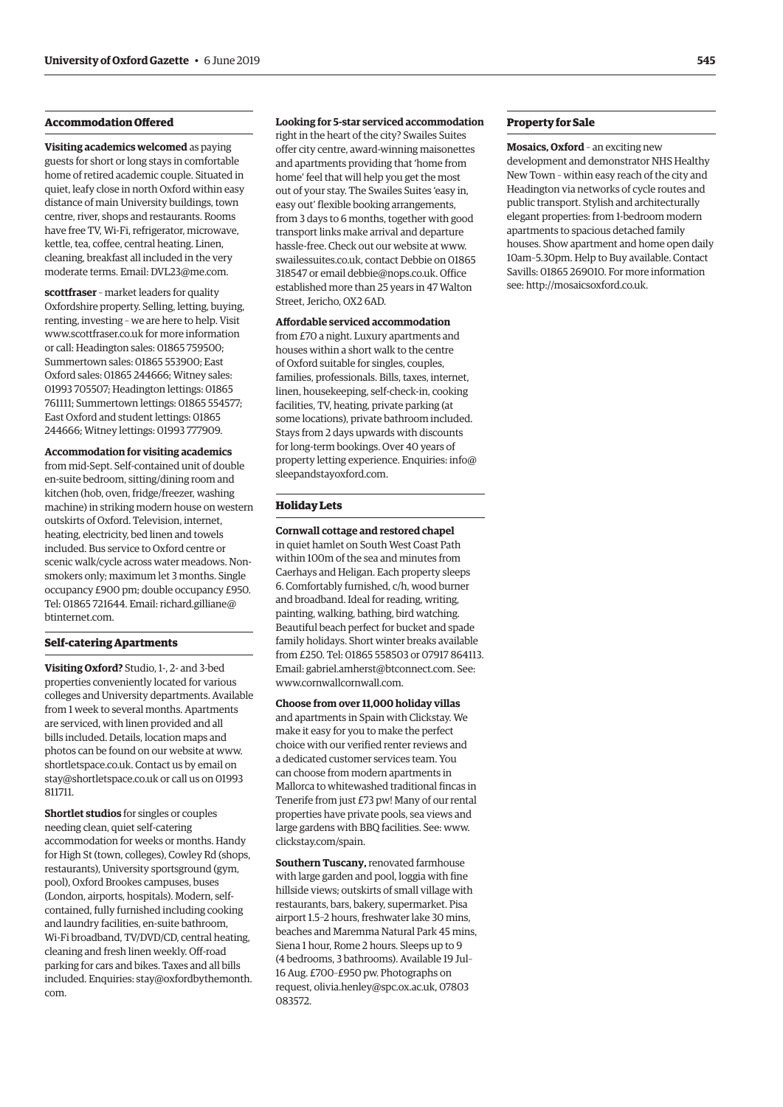#### **Accommodation Offered**

**Visiting academics welcomed** as paying guests for short or long stays in comfortable home of retired academic couple. Situated in quiet, leafy close in north Oxford within easy distance of main University buildings, town centre, river, shops and restaurants. Rooms have free TV, Wi-Fi, refrigerator, microwave, kettle, tea, coffee, central heating. Linen, cleaning, breakfast all included in the very moderate terms. Email: [DVL23@me.com](mailto:DVL23@me.com).

**scottfraser** – market leaders for quality Oxfordshire property. Selling, letting, buying, renting, investing – we are here to help. Visit [www.scottfraser.co.uk](http://www.scottfraser.co.uk) for more information or call: Headington sales: 01865 759500; Summertown sales: 01865 553900; East Oxford sales: 01865 244666; Witney sales: 01993 705507; Headington lettings: 01865 761111; Summertown lettings: 01865 554577; East Oxford and student lettings: 01865 244666; Witney lettings: 01993 777909.

### **Accommodation for visiting academics**

from mid-Sept. Self-contained unit of double en-suite bedroom, sitting/dining room and kitchen (hob, oven, fridge/freezer, washing machine) in striking modern house on western outskirts of Oxford. Television, internet, heating, electricity, bed linen and towels included. Bus service to Oxford centre or scenic walk/cycle across water meadows. Nonsmokers only; maximum let 3 months. Single occupancy £900 pm; double occupancy £950. Tel: 01865 721644. Email: [richard.gilliane@](mailto:richard.gilliane@btinternet.com) [btinternet.com](mailto:richard.gilliane@btinternet.com).

#### **Self-catering Apartments**

**Visiting Oxford?** Studio, 1-, 2- and 3-bed properties conveniently located for various colleges and University departments. Available from 1 week to several months. Apartments are serviced, with linen provided and all bills included. Details, location maps and photos can be found on our website at [www.](http://www.shortletspace.co.uk) [shortletspace.co.uk.](http://www.shortletspace.co.uk) Contact us by email on [stay@shortletspace.co.uk](mailto:stay@shortletspace.co.uk) or call us on 01993 811711.

**Shortlet studios** for singles or couples needing clean, quiet self-catering accommodation for weeks or months. Handy for High St (town, colleges), Cowley Rd (shops, restaurants), University sportsground (gym, pool), Oxford Brookes campuses, buses (London, airports, hospitals). Modern, selfcontained, fully furnished including cooking and laundry facilities, en-suite bathroom, Wi-Fi broadband, TV/DVD/CD, central heating, cleaning and fresh linen weekly. Off-road parking for cars and bikes. Taxes and all bills included. Enquiries: [stay@oxfordbythemonth.](mailto:stay@oxfordbythemonth.com) [com.](mailto:stay@oxfordbythemonth.com)

#### **Looking for 5-star serviced accommodation**

right in the heart of the city? Swailes Suites offer city centre, award-winning maisonettes and apartments providing that 'home from home' feel that will help you get the most out of your stay. The Swailes Suites 'easy in, easy out' flexible booking arrangements, from 3 days to 6 months, together with good transport links make arrival and departure hassle-free. Check out our website at [www.](http://www.swailessuites.co.uk) [swailessuites.co.uk](http://www.swailessuites.co.uk), contact Debbie on 01865 318547 or email [debbie@nops.co.uk](mailto:debbie@nops.co.uk). Office established more than 25 years in 47 Walton Street, Jericho, OX2 6AD.

#### **Affordable serviced accommodation**

from £70 a night. Luxury apartments and houses within a short walk to the centre of Oxford suitable for singles, couples, families, professionals. Bills, taxes, internet, linen, housekeeping, self-check-in, cooking facilities, TV, heating, private parking (at some locations), private bathroom included. Stays from 2 days upwards with discounts for long-term bookings. Over 40 years of property letting experience. Enquiries: [info@](mailto:info@sleepandstayoxford.com) [sleepandstayoxford.com.](mailto:info@sleepandstayoxford.com)

#### **Holiday Lets**

**Cornwall cottage and restored chapel** in quiet hamlet on South West Coast Path within 100m of the sea and minutes from Caerhays and Heligan. Each property sleeps 6. Comfortably furnished, c/h, wood burner and broadband. Ideal for reading, writing, painting, walking, bathing, bird watching. Beautiful beach perfect for bucket and spade family holidays. Short winter breaks available from £250. Tel: 01865 558503 or 07917 864113. Email: [gabriel.amherst@btconnect.com](mailto:gabriel.amherst@btconnect.com). See: [www.cornwallcornwall.com](http://www.cornwallcornwall.com).

**Choose from over 11,000 holiday villas**  and apartments in Spain with Clickstay. We make it easy for you to make the perfect choice with our verified renter reviews and a dedicated customer services team. You can choose from modern apartments in Mallorca to whitewashed traditional fincas in Tenerife from just £73 pw! Many of our rental properties have private pools, sea views and large gardens with BBQ facilities. See: [www.](http://www.clickstay.com/spain) [clickstay.com/spain.](http://www.clickstay.com/spain)

**Southern Tuscany,** renovated farmhouse with large garden and pool, loggia with fine hillside views; outskirts of small village with restaurants, bars, bakery, supermarket. Pisa airport 1.5–2 hours, freshwater lake 30 mins, beaches and Maremma Natural Park 45 mins, Siena 1 hour, Rome 2 hours. Sleeps up to 9 (4 bedrooms, 3 bathrooms). Available 19 Jul– 16 Aug. £700–£950 pw. Photographs on request, [olivia.henley@spc.ox.ac.uk,](mailto:olivia.henley@spc.ox.ac.uk) 07803 083572.

#### **Property for Sale**

**Mosaics, Oxford** – an exciting new development and demonstrator NHS Healthy New Town – within easy reach of the city and Headington via networks of cycle routes and public transport. Stylish and architecturally elegant properties: from 1-bedroom modern apartments to spacious detached family houses. Show apartment and home open daily 10am–5.30pm. Help to Buy available. Contact Savills: 01865 269010. For more information see:<http://mosaicsoxford.co.uk>.